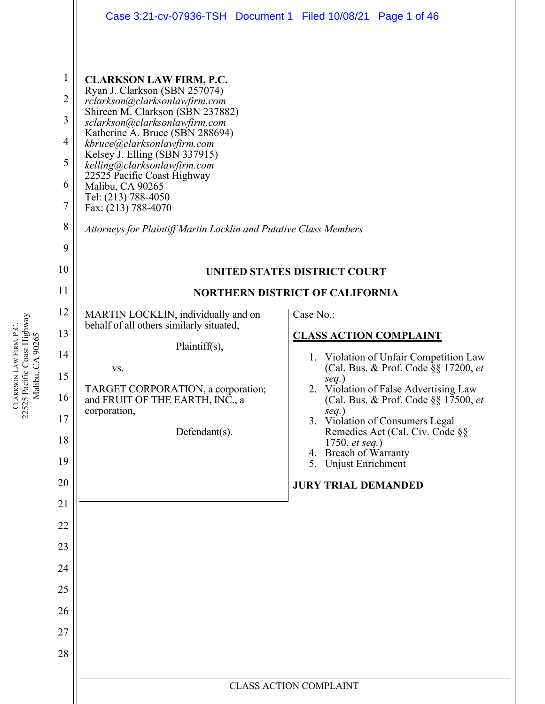|                                                                                                  | Case 3:21-cv-07936-TSH  Document 1  Filed 10/08/21  Page 1 of 46                                                                                                                                                                                                                                                                                                                                                                                                             |                                                                                |
|--------------------------------------------------------------------------------------------------|------------------------------------------------------------------------------------------------------------------------------------------------------------------------------------------------------------------------------------------------------------------------------------------------------------------------------------------------------------------------------------------------------------------------------------------------------------------------------|--------------------------------------------------------------------------------|
| $\mathbf 1$<br>$\overline{2}$<br>3<br>$\overline{4}$<br>5<br>6<br>$\overline{7}$<br>8<br>9<br>10 | <b>CLARKSON LAW FIRM, P.C.</b><br>Ryan J. Clarkson (SBN 257074)<br>rclarkson@clarksonlawfirm.com<br>Shireen M. Clarkson (SBN 237882)<br>sclarkson@clarksonlawfirm.com<br>Katherine A. Bruce (SBN 288694)<br>kbruce@clarksonlawfirm.com<br>Kelsey J. Elling (SBN 337915)<br>kelling@clarksonlawfirm.com<br>22525 Pacific Coast Highway<br>Malibu, CA 90265<br>Tel: (213) 788-4050<br>Fax: (213) 788-4070<br>Attorneys for Plaintiff Martin Locklin and Putative Class Members | UNITED STATES DISTRICT COURT                                                   |
| 11                                                                                               |                                                                                                                                                                                                                                                                                                                                                                                                                                                                              | <b>NORTHERN DISTRICT OF CALIFORNIA</b>                                         |
| 12                                                                                               | MARTIN LOCKLIN, individually and on                                                                                                                                                                                                                                                                                                                                                                                                                                          | Case No.:                                                                      |
| 13                                                                                               | behalf of all others similarly situated,                                                                                                                                                                                                                                                                                                                                                                                                                                     | <b>CLASS ACTION COMPLAINT</b>                                                  |
| 14                                                                                               | Plaintiff(s),                                                                                                                                                                                                                                                                                                                                                                                                                                                                | Violation of Unfair Competition Law<br>1.                                      |
| 15                                                                                               | VS.                                                                                                                                                                                                                                                                                                                                                                                                                                                                          | (Cal. Bus. & Prof. Code §§ 17200, et<br>$seq.$ )                               |
| 16                                                                                               | TARGET CORPORATION, a corporation;<br>and FRUIT OF THE EARTH, INC., a                                                                                                                                                                                                                                                                                                                                                                                                        | 2. Violation of False Advertising Law<br>(Cal. Bus. & Prof. Code §§ 17500, et  |
| 17                                                                                               | corporation,<br>Defendant(s).                                                                                                                                                                                                                                                                                                                                                                                                                                                | $seq.$ )<br>3. Violation of Consumers Legal<br>Remedies Act (Cal. Civ. Code §§ |
| 18                                                                                               |                                                                                                                                                                                                                                                                                                                                                                                                                                                                              | 1750, <i>et seq.</i> )<br>4. Breach of Warranty                                |
| 19                                                                                               |                                                                                                                                                                                                                                                                                                                                                                                                                                                                              | 5. Unjust Enrichment                                                           |
| 20                                                                                               |                                                                                                                                                                                                                                                                                                                                                                                                                                                                              | <b>JURY TRIAL DEMANDED</b>                                                     |
| 21<br>22                                                                                         |                                                                                                                                                                                                                                                                                                                                                                                                                                                                              |                                                                                |
| 23                                                                                               |                                                                                                                                                                                                                                                                                                                                                                                                                                                                              |                                                                                |
| 24                                                                                               |                                                                                                                                                                                                                                                                                                                                                                                                                                                                              |                                                                                |
| 25                                                                                               |                                                                                                                                                                                                                                                                                                                                                                                                                                                                              |                                                                                |
| 26                                                                                               |                                                                                                                                                                                                                                                                                                                                                                                                                                                                              |                                                                                |
| 27                                                                                               |                                                                                                                                                                                                                                                                                                                                                                                                                                                                              |                                                                                |
| 28                                                                                               |                                                                                                                                                                                                                                                                                                                                                                                                                                                                              |                                                                                |
|                                                                                                  |                                                                                                                                                                                                                                                                                                                                                                                                                                                                              |                                                                                |
|                                                                                                  |                                                                                                                                                                                                                                                                                                                                                                                                                                                                              | <b>CLASS ACTION COMPLAINT</b>                                                  |

CLARKSON LAW FIRM, P.C.<br>22525 Pacific Coast Highway<br>Malibu, CA 90265 22525 Pacific Coast Highway LAW FIRM, P.C. Malibu, CA 90265 **CLARKSON**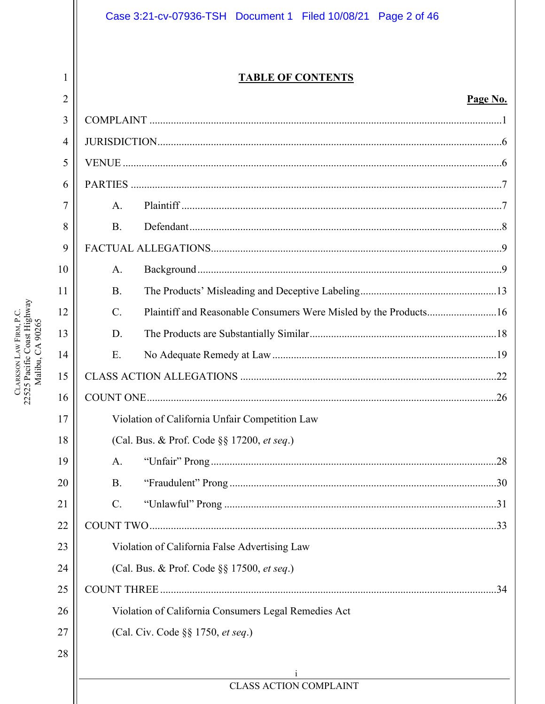## Case 3:21-cv-07936-TSH Document 1 Filed 10/08/21 Page 2 of 46

## **TABLE OF CONTENTS**

### Page No.

| $\overline{2}$ |                                                      |                                                                  | Page No. |  |
|----------------|------------------------------------------------------|------------------------------------------------------------------|----------|--|
| 3              |                                                      |                                                                  |          |  |
| $\overline{4}$ |                                                      |                                                                  |          |  |
| 5              |                                                      |                                                                  |          |  |
| 6              |                                                      |                                                                  |          |  |
| 7              | A.                                                   |                                                                  |          |  |
| 8              | <b>B.</b>                                            |                                                                  |          |  |
| 9              |                                                      |                                                                  |          |  |
| 10             | A.                                                   |                                                                  |          |  |
| 11             | <b>B.</b>                                            |                                                                  |          |  |
| 12             | $C_{\cdot}$                                          | Plaintiff and Reasonable Consumers Were Misled by the Products16 |          |  |
| 13             | D.                                                   |                                                                  |          |  |
| 14             | Ε.                                                   |                                                                  |          |  |
| 15             |                                                      |                                                                  |          |  |
| 16             |                                                      |                                                                  |          |  |
| 17             | Violation of California Unfair Competition Law       |                                                                  |          |  |
| 18             | (Cal. Bus. & Prof. Code §§ 17200, et seq.)           |                                                                  |          |  |
| 19             | A.                                                   |                                                                  |          |  |
| 20             | <b>B.</b>                                            |                                                                  |          |  |
| 21             | C.                                                   |                                                                  |          |  |
| 22             |                                                      |                                                                  |          |  |
| 23             | Violation of California False Advertising Law        |                                                                  |          |  |
| 24             | (Cal. Bus. & Prof. Code §§ 17500, et seq.)           |                                                                  |          |  |
| 25             |                                                      |                                                                  |          |  |
| 26             | Violation of California Consumers Legal Remedies Act |                                                                  |          |  |
| 27             |                                                      | (Cal. Civ. Code §§ 1750, et seq.)                                |          |  |
| 28             |                                                      |                                                                  |          |  |
|                | <b>CLASS ACTION COMPLAINT</b>                        |                                                                  |          |  |
|                |                                                      |                                                                  |          |  |

 $\mathbf{1}$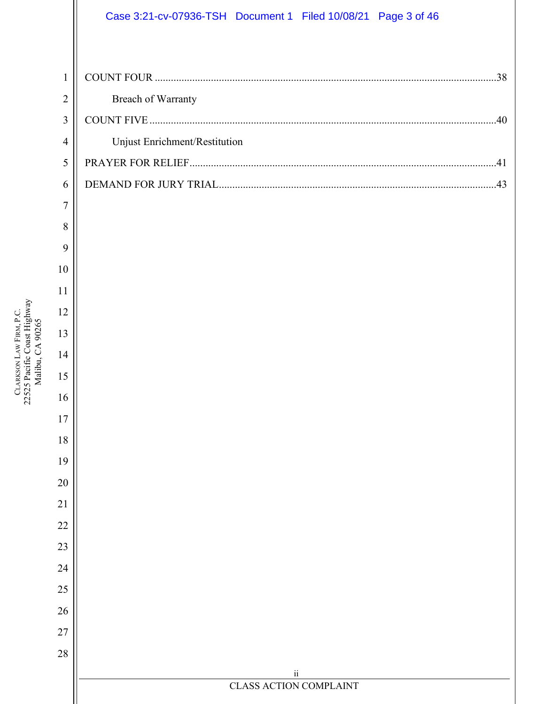## Case 3:21-cv-07936-TSH Document 1 Filed 10/08/21 Page 3 of 46

| $\mathfrak{Z}$ |                               |
|----------------|-------------------------------|
| $\overline{4}$ | Unjust Enrichment/Restitution |
| 5              |                               |
| 6              |                               |
| $\overline{7}$ |                               |
| 8              |                               |
| 9              |                               |
| 10             |                               |
| 11             |                               |
| 12             |                               |
| 13             |                               |
| 14             |                               |
| 15             |                               |
| 16             |                               |
| 17             |                               |
| 18             |                               |
| 19             |                               |
| 20             |                               |
| 21             |                               |
| 22             |                               |
| 23             |                               |
| 24<br>25       |                               |
| 26             |                               |
| 27             |                               |
| 28             |                               |
|                | $\rm ii$                      |
|                | <b>CLASS ACTION COMPLAINT</b> |
|                |                               |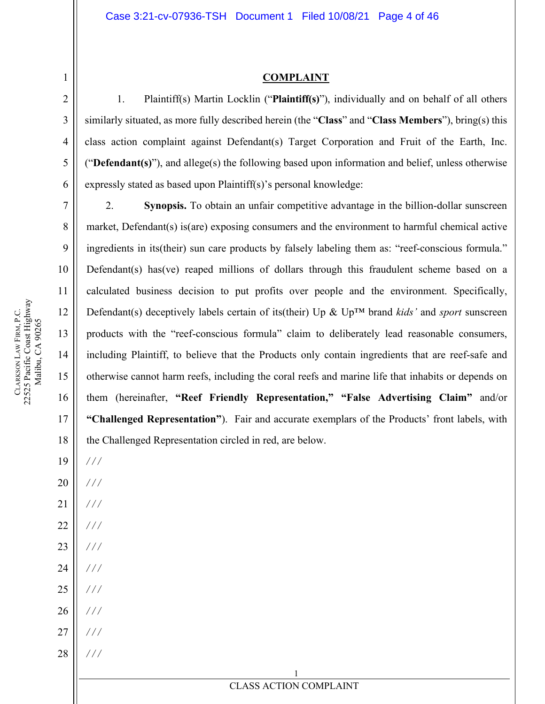### **COMPLAINT**

1. Plaintiff(s) Martin Locklin ("**Plaintiff(s)**"), individually and on behalf of all others similarly situated, as more fully described herein (the "**Class**" and "**Class Members**"), bring(s) this class action complaint against Defendant(s) Target Corporation and Fruit of the Earth, Inc. ("**Defendant(s)**"), and allege(s) the following based upon information and belief, unless otherwise expressly stated as based upon Plaintiff(s)'s personal knowledge:

2. **Synopsis.** To obtain an unfair competitive advantage in the billion-dollar sunscreen market, Defendant(s) is(are) exposing consumers and the environment to harmful chemical active ingredients in its(their) sun care products by falsely labeling them as: "reef-conscious formula." Defendant(s) has (ve) reaped millions of dollars through this fraudulent scheme based on a calculated business decision to put profits over people and the environment. Specifically, Defendant(s) deceptively labels certain of its(their) Up & Up™ brand *kids'* and *sport* sunscreen products with the "reef-conscious formula" claim to deliberately lead reasonable consumers, including Plaintiff, to believe that the Products only contain ingredients that are reef-safe and otherwise cannot harm reefs, including the coral reefs and marine life that inhabits or depends on them (hereinafter, **"Reef Friendly Representation," "False Advertising Claim"** and/or **"Challenged Representation"**). Fair and accurate exemplars of the Products' front labels, with the Challenged Representation circled in red, are below.

18 19 20 21 22 23 24 25 26 27 28 */ / / / / / / / / / / / / / / / / / / / / / / / / / / / / /*

1

**CLARKSON** 

LAW FIRM, P.C.

22525 Pacific Coast Highway Malibu, CA 90265

CLARKSON LAW FIRM, P.C.<br>22525 Pacific Coast Highway Malibu, CA 90265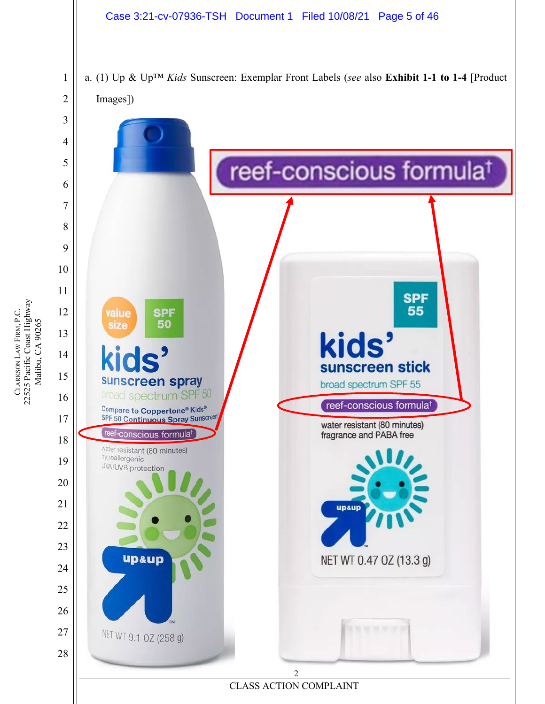### Case 3:21-cv-07936-TSH Document 1 Filed 10/08/21 Page 5 of 46

a. (1) Up & Up™ *Kids* Sunscreen: Exemplar Front Labels (*see* also **Exhibit 1-1 to 1-4** [Product Images])

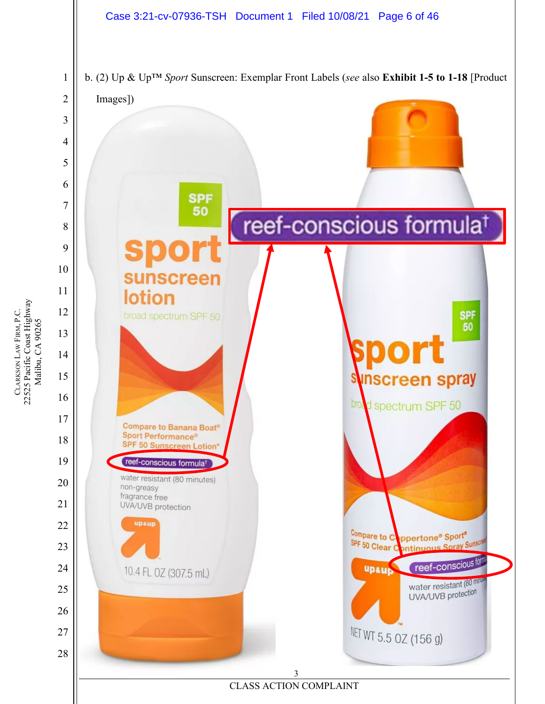

22525 Pacific Coast Highway CLARKSON LAW FIRM, P.C.<br>22525 Pacific Coast Highway<br>Malibu, CA 90265 LAW FIRM, P.C. Malibu, CA 90265 **CLARKSON**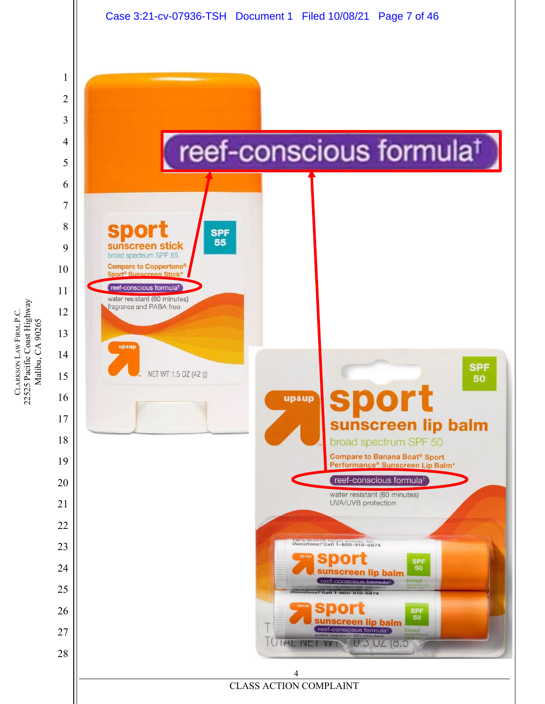

22525 Pacific Coast Highway CLARKSON LAW FIRM, P.C.<br>22525 Pacific Coast Highway<br>Malibu, CA 90265 LAW FIRM, P.C. Malibu, CA 90265 **CLARKSON** 

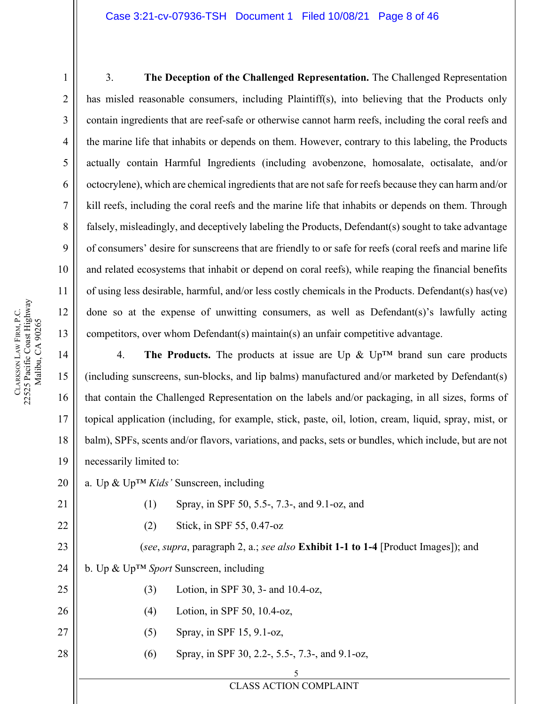#### Case 3:21-cv-07936-TSH Document 1 Filed 10/08/21 Page 8 of 46

1

2

3

4

5

6

7

8

9

10

11

13

14

15

16

17

18

19

21

22

23

24

25

26

27

28

3. **The Deception of the Challenged Representation.** The Challenged Representation has misled reasonable consumers, including Plaintiff(s), into believing that the Products only contain ingredients that are reef-safe or otherwise cannot harm reefs, including the coral reefs and the marine life that inhabits or depends on them. However, contrary to this labeling, the Products actually contain Harmful Ingredients (including avobenzone, homosalate, octisalate, and/or octocrylene), which are chemical ingredients that are not safe for reefs because they can harm and/or kill reefs, including the coral reefs and the marine life that inhabits or depends on them. Through falsely, misleadingly, and deceptively labeling the Products, Defendant(s) sought to take advantage of consumers' desire for sunscreens that are friendly to or safe for reefs (coral reefs and marine life and related ecosystems that inhabit or depend on coral reefs), while reaping the financial benefits of using less desirable, harmful, and/or less costly chemicals in the Products. Defendant(s) has(ve) done so at the expense of unwitting consumers, as well as Defendant(s)'s lawfully acting competitors, over whom Defendant(s) maintain(s) an unfair competitive advantage.

4. **The Products.** The products at issue are Up  $\&$  Up<sup>TM</sup> brand sun care products (including sunscreens, sun-blocks, and lip balms) manufactured and/or marketed by Defendant(s) that contain the Challenged Representation on the labels and/or packaging, in all sizes, forms of topical application (including, for example, stick, paste, oil, lotion, cream, liquid, spray, mist, or balm), SPFs, scents and/or flavors, variations, and packs, sets or bundles, which include, but are not necessarily limited to:

20 a. Up & Up™ *Kids'* Sunscreen, including

- (1) Spray, in SPF 50, 5.5-, 7.3-, and 9.1-oz, and
	- (2) Stick, in SPF 55, 0.47-oz

(*see*, *supra*, paragraph 2, a.; *see also* **Exhibit 1-1 to 1-4** [Product Images]); and b. Up & Up™ *Sport* Sunscreen, including

- (3) Lotion, in SPF 30, 3- and 10.4-oz,
- (4) Lotion, in SPF 50, 10.4-oz,
- (5) Spray, in SPF 15, 9.1-oz,
- (6) Spray, in SPF 30, 2.2-, 5.5-, 7.3-, and 9.1-oz,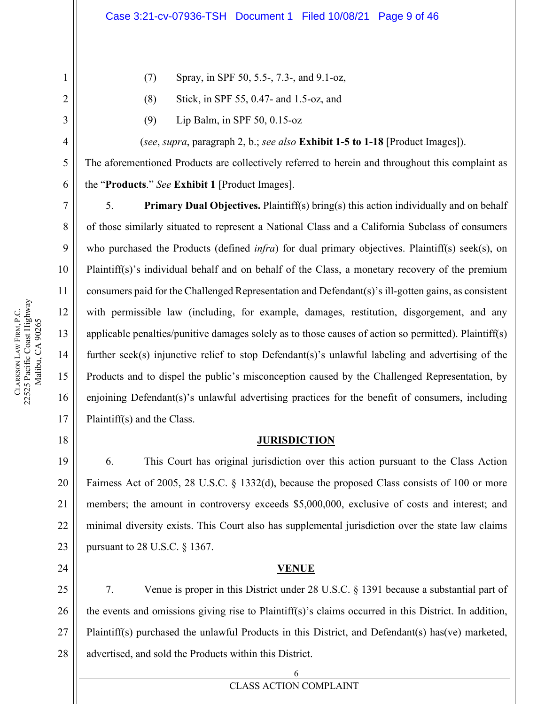- (7) Spray, in SPF 50, 5.5-, 7.3-, and 9.1-oz,
- (8) Stick, in SPF 55, 0.47- and 1.5-oz, and
- (9) Lip Balm, in SPF 50, 0.15-oz

(*see*, *supra*, paragraph 2, b.; *see also* **Exhibit 1-5 to 1-18** [Product Images]).

The aforementioned Products are collectively referred to herein and throughout this complaint as the "**Products**." *See* **Exhibit 1** [Product Images].

5. **Primary Dual Objectives.** Plaintiff(s) bring(s) this action individually and on behalf of those similarly situated to represent a National Class and a California Subclass of consumers who purchased the Products (defined *infra*) for dual primary objectives. Plaintiff(s) seek(s), on Plaintiff(s)'s individual behalf and on behalf of the Class, a monetary recovery of the premium consumers paid for the Challenged Representation and Defendant(s)'s ill-gotten gains, as consistent with permissible law (including, for example, damages, restitution, disgorgement, and any applicable penalties/punitive damages solely as to those causes of action so permitted). Plaintiff(s) further seek(s) injunctive relief to stop Defendant(s)'s unlawful labeling and advertising of the Products and to dispel the public's misconception caused by the Challenged Representation, by enjoining Defendant(s)'s unlawful advertising practices for the benefit of consumers, including Plaintiff(s) and the Class.

### **JURISDICTION**

6. This Court has original jurisdiction over this action pursuant to the Class Action Fairness Act of 2005, 28 U.S.C. § 1332(d), because the proposed Class consists of 100 or more members; the amount in controversy exceeds \$5,000,000, exclusive of costs and interest; and minimal diversity exists. This Court also has supplemental jurisdiction over the state law claims pursuant to 28 U.S.C. § 1367.

### **VENUE**

27 7. Venue is proper in this District under 28 U.S.C. § 1391 because a substantial part of the events and omissions giving rise to Plaintiff(s)'s claims occurred in this District. In addition, Plaintiff(s) purchased the unlawful Products in this District, and Defendant(s) has(ve) marketed, advertised, and sold the Products within this District.

1

2

3

4

5

6

7

8

9

10

11

12

13

14

15

16

17

18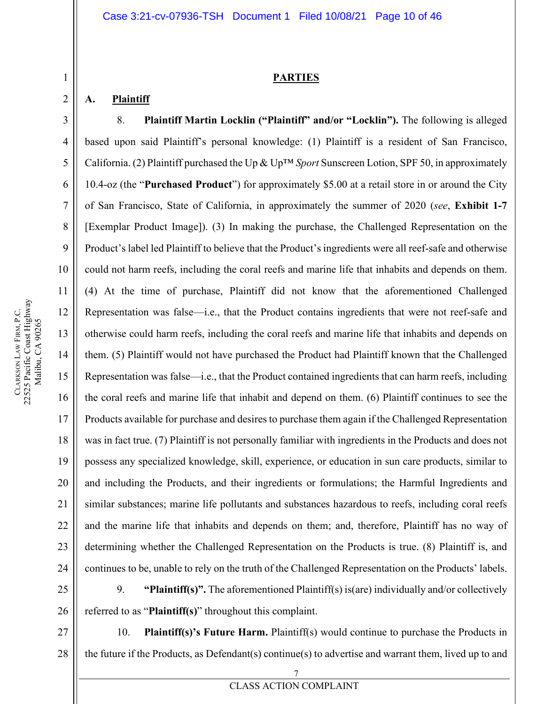### **PARTIES**

### **A. Plaintiff**

1

2

3

4

5

6

7

8

9

10

11

12

13

14

15

16

17

18

19

20

21

22

23

24

8. **Plaintiff Martin Locklin ("Plaintiff" and/or "Locklin").** The following is alleged based upon said Plaintiff's personal knowledge: (1) Plaintiff is a resident of San Francisco, California. (2) Plaintiff purchased the Up & Up™ *Sport* Sunscreen Lotion, SPF 50, in approximately 10.4-oz (the "**Purchased Product**") for approximately \$5.00 at a retail store in or around the City of San Francisco, State of California, in approximately the summer of 2020 (*see*, **Exhibit 1-7** [Exemplar Product Image]). (3) In making the purchase, the Challenged Representation on the Product's label led Plaintiff to believe that the Product's ingredients were all reef-safe and otherwise could not harm reefs, including the coral reefs and marine life that inhabits and depends on them. (4) At the time of purchase, Plaintiff did not know that the aforementioned Challenged Representation was false—i.e., that the Product contains ingredients that were not reef-safe and otherwise could harm reefs, including the coral reefs and marine life that inhabits and depends on them. (5) Plaintiff would not have purchased the Product had Plaintiff known that the Challenged Representation was false—i.e., that the Product contained ingredients that can harm reefs, including the coral reefs and marine life that inhabit and depend on them. (6) Plaintiff continues to see the Products available for purchase and desires to purchase them again if the Challenged Representation was in fact true. (7) Plaintiff is not personally familiar with ingredients in the Products and does not possess any specialized knowledge, skill, experience, or education in sun care products, similar to and including the Products, and their ingredients or formulations; the Harmful Ingredients and similar substances; marine life pollutants and substances hazardous to reefs, including coral reefs and the marine life that inhabits and depends on them; and, therefore, Plaintiff has no way of determining whether the Challenged Representation on the Products is true. (8) Plaintiff is, and continues to be, unable to rely on the truth of the Challenged Representation on the Products' labels.

25 26 9. **"Plaintiff(s)".** The aforementioned Plaintiff(s) is(are) individually and/or collectively referred to as "**Plaintiff(s)**" throughout this complaint.

27 10. **Plaintiff(s)'s Future Harm.** Plaintiff(s) would continue to purchase the Products in the future if the Products, as Defendant(s) continue(s) to advertise and warrant them, lived up to and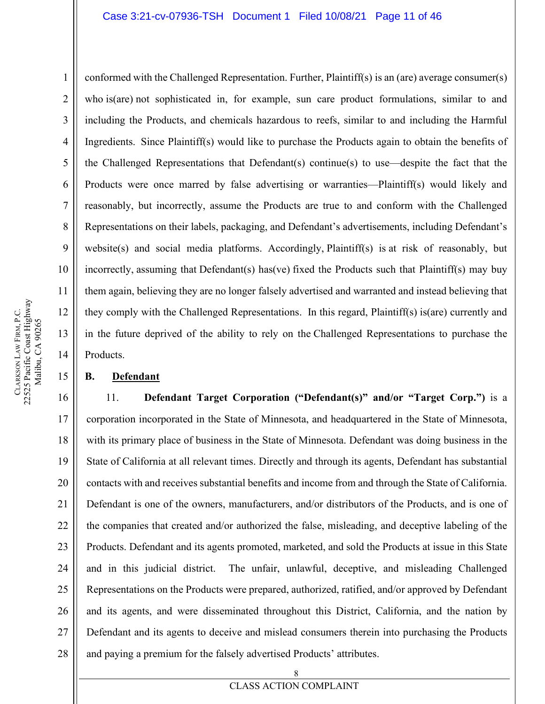conformed with the Challenged Representation. Further, Plaintiff(s) is an (are) average consumer(s) who is(are) not sophisticated in, for example, sun care product formulations, similar to and including the Products, and chemicals hazardous to reefs, similar to and including the Harmful Ingredients. Since Plaintiff(s) would like to purchase the Products again to obtain the benefits of the Challenged Representations that Defendant(s) continue(s) to use—despite the fact that the Products were once marred by false advertising or warranties—Plaintiff(s) would likely and reasonably, but incorrectly, assume the Products are true to and conform with the Challenged Representations on their labels, packaging, and Defendant's advertisements, including Defendant's website(s) and social media platforms. Accordingly, Plaintiff(s) is at risk of reasonably, but incorrectly, assuming that Defendant(s) has(ve) fixed the Products such that Plaintiff(s) may buy them again, believing they are no longer falsely advertised and warranted and instead believing that they comply with the Challenged Representations. In this regard, Plaintiff(s) is(are) currently and in the future deprived of the ability to rely on the Challenged Representations to purchase the Products.

### **B. Defendant**

16 17 18 19 20 21 22 23 24 25 26 27 28 11. **Defendant Target Corporation ("Defendant(s)" and/or "Target Corp.")** is a corporation incorporated in the State of Minnesota, and headquartered in the State of Minnesota, with its primary place of business in the State of Minnesota. Defendant was doing business in the State of California at all relevant times. Directly and through its agents, Defendant has substantial contacts with and receives substantial benefits and income from and through the State of California. Defendant is one of the owners, manufacturers, and/or distributors of the Products, and is one of the companies that created and/or authorized the false, misleading, and deceptive labeling of the Products. Defendant and its agents promoted, marketed, and sold the Products at issue in this State and in this judicial district. The unfair, unlawful, deceptive, and misleading Challenged Representations on the Products were prepared, authorized, ratified, and/or approved by Defendant and its agents, and were disseminated throughout this District, California, and the nation by Defendant and its agents to deceive and mislead consumers therein into purchasing the Products and paying a premium for the falsely advertised Products' attributes.

1

2

3

4

5

6

7

8

9

10

11

12

13

14

15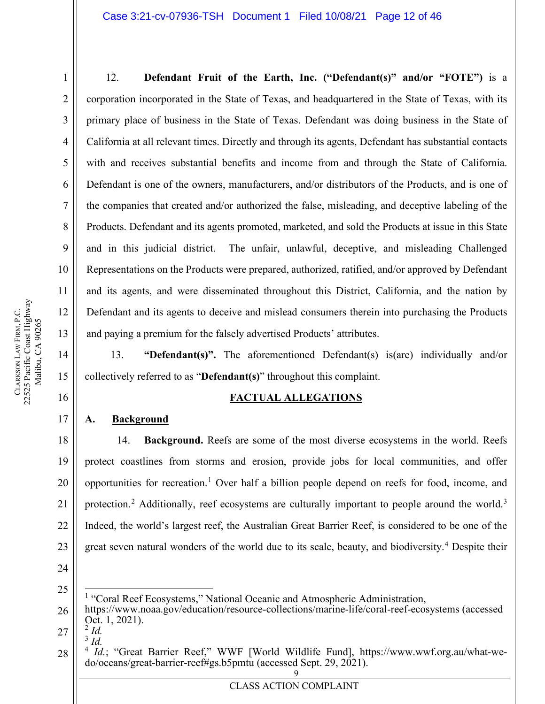12. **Defendant Fruit of the Earth, Inc. ("Defendant(s)" and/or "FOTE")** is a corporation incorporated in the State of Texas, and headquartered in the State of Texas, with its primary place of business in the State of Texas. Defendant was doing business in the State of California at all relevant times. Directly and through its agents, Defendant has substantial contacts with and receives substantial benefits and income from and through the State of California. Defendant is one of the owners, manufacturers, and/or distributors of the Products, and is one of the companies that created and/or authorized the false, misleading, and deceptive labeling of the Products. Defendant and its agents promoted, marketed, and sold the Products at issue in this State and in this judicial district. The unfair, unlawful, deceptive, and misleading Challenged Representations on the Products were prepared, authorized, ratified, and/or approved by Defendant and its agents, and were disseminated throughout this District, California, and the nation by Defendant and its agents to deceive and mislead consumers therein into purchasing the Products and paying a premium for the falsely advertised Products' attributes.

13. **"Defendant(s)".** The aforementioned Defendant(s) is(are) individually and/or collectively referred to as "**Defendant(s)**" throughout this complaint.

## **FACTUAL ALLEGATIONS**

### **A. Background**

18 19 20 21 22 23 14. **Background.** Reefs are some of the most diverse ecosystems in the world. Reefs protect coastlines from storms and erosion, provide jobs for local communities, and offer opportunities for recreation.[1](#page-11-0) Over half a billion people depend on reefs for food, income, and protection.<sup>[2](#page-11-1)</sup> Additionally, reef ecosystems are culturally important to people around the world.<sup>[3](#page-11-2)</sup> Indeed, the world's largest reef, the Australian Great Barrier Reef, is considered to be one of the great seven natural wonders of the world due to its scale, beauty, and biodiversity.<sup>[4](#page-11-3)</sup> Despite their

24

<span id="page-11-0"></span>25

<sup>1</sup> "Coral Reef Ecosystems," National Oceanic and Atmospheric Administration,

<span id="page-11-1"></span>27 <sup>3</sup> *Id.*

1

2

3

4

5

6

7

8

9

10

11

12

13

14

15

16

<sup>26</sup> https://www.noaa.gov/education/resource-collections/marine-life/coral-reef-ecosystems (accessed Oct. 1, 2021).<br><sup>2</sup> *Id.* 

<span id="page-11-2"></span>

<span id="page-11-3"></span><sup>9</sup> 28 <sup>4</sup> *Id.*; "Great Barrier Reef," WWF [World Wildlife Fund], https://www.wwf.org.au/what-we-do/oceans/great-barrier-reef#gs.b5pmtu (accessed Sept. 29, 2021).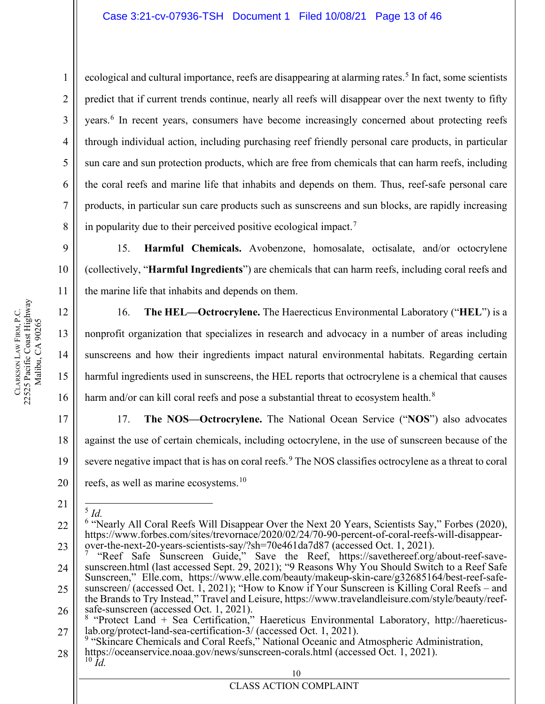ecological and cultural importance, reefs are disappearing at alarming rates.<sup>[5](#page-12-0)</sup> In fact, some scientists predict that if current trends continue, nearly all reefs will disappear over the next twenty to fifty years.<sup>[6](#page-12-1)</sup> In recent years, consumers have become increasingly concerned about protecting reefs through individual action, including purchasing reef friendly personal care products, in particular sun care and sun protection products, which are free from chemicals that can harm reefs, including the coral reefs and marine life that inhabits and depends on them. Thus, reef-safe personal care products, in particular sun care products such as sunscreens and sun blocks, are rapidly increasing in popularity due to their perceived positive ecological impact.<sup>[7](#page-12-2)</sup>

15. **Harmful Chemicals.** Avobenzone, homosalate, octisalate, and/or octocrylene (collectively, "**Harmful Ingredients**") are chemicals that can harm reefs, including coral reefs and the marine life that inhabits and depends on them.

16. **The HEL—Octrocrylene.** The Haerecticus Environmental Laboratory ("**HEL**") is a nonprofit organization that specializes in research and advocacy in a number of areas including sunscreens and how their ingredients impact natural environmental habitats. Regarding certain harmful ingredients used in sunscreens, the HEL reports that octrocrylene is a chemical that causes harm and/or can kill coral reefs and pose a substantial threat to ecosystem health.<sup>[8](#page-12-3)</sup>

17 18 19 20 17. **The NOS—Octrocrylene.** The National Ocean Service ("**NOS**") also advocates against the use of certain chemicals, including octocrylene, in the use of sunscreen because of the severe negative impact that is has on coral reefs.<sup>[9](#page-12-4)</sup> The NOS classifies octrocylene as a threat to coral reefs, as well as marine ecosystems.<sup>[10](#page-12-5)</sup>

<span id="page-12-0"></span>21 <sup>5</sup> *Id.*

1

2

3

4

5

6

7

8

9

10

11

12

13

14

15

<span id="page-12-1"></span><sup>22</sup> 23 <sup>6</sup> "Nearly All Coral Reefs Will Disappear Over the Next 20 Years, Scientists Say," Forbes (2020), https://www.forbes.com/sites/trevornace/2020/02/24/70-90-percent-of-coral-reefs-will-disappear-<br>over-the-next-20-years-scientists-say/?sh=70e461da7d87 (accessed Oct. 1, 2021).

<span id="page-12-2"></span><sup>24</sup> 25 "Reef Safe Sunscreen Guide," Save the Reef, https://savethereef.org/about-reef-savesunscreen.html (last accessed Sept. 29, 2021); "9 Reasons Why You Should Switch to a Reef Safe Sunscreen," Elle.com, https://www.elle.com/beauty/makeup-skin-care/g32685164/best-reef-safe-<br>sunscreen/ (accessed Oct. 1, 2021); "How to Know if Your Sunscreen is Killing Coral Reefs – and<br>the Brands to Try Instead," Trave

<span id="page-12-3"></span><sup>26</sup> 27 safe-sunscreen (accessed Oct. 1, 2021).<br><sup>8</sup> "Protect Land + Sea Certification," Haereticus Environmental Laboratory, http://haereticus-<br>lab.org/protect-land-sea-certification-3/ (accessed Oct. 1, 2021).<br><sup>9</sup> "Skincare Chemi

<span id="page-12-5"></span><span id="page-12-4"></span><sup>28</sup> https://oceanservice.noaa.gov/news/sunscreen-corals.html (accessed Oct. 1, 2021). <sup>10</sup> *Id.*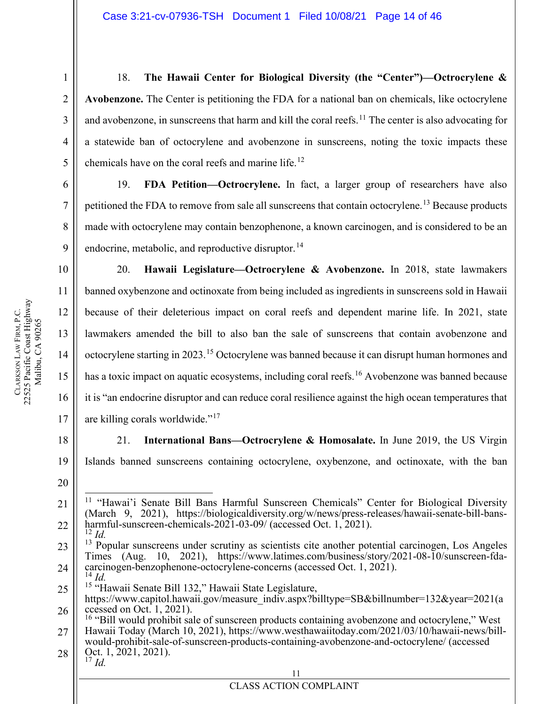18. **The Hawaii Center for Biological Diversity (the "Center")—Octrocrylene & Avobenzone.** The Center is petitioning the FDA for a national ban on chemicals, like octocrylene and avobenzone, in sunscreens that harm and kill the coral reefs.<sup>[11](#page-13-0)</sup> The center is also advocating for a statewide ban of octocrylene and avobenzone in sunscreens, noting the toxic impacts these chemicals have on the coral reefs and marine life.<sup>[12](#page-13-1)</sup>

19. **FDA Petition—Octrocrylene.** In fact, a larger group of researchers have also petitioned the FDA to remove from sale all sunscreens that contain octocrylene.<sup>[13](#page-13-2)</sup> Because products made with octocrylene may contain benzophenone, a known carcinogen, and is considered to be an endocrine, metabolic, and reproductive disruptor.  $^{14}$  $^{14}$  $^{14}$ 

20. **Hawaii Legislature—Octrocrylene & Avobenzone.** In 2018, state lawmakers banned oxybenzone and octinoxate from being included as ingredients in sunscreens sold in Hawaii because of their deleterious impact on coral reefs and dependent marine life. In 2021, state lawmakers amended the bill to also ban the sale of sunscreens that contain avobenzone and octocrylene starting in 2023.<sup>[15](#page-13-4)</sup> Octocrylene was banned because it can disrupt human hormones and has a toxic impact on aquatic ecosystems, including coral reefs.<sup>[16](#page-13-5)</sup> Avobenzone was banned because it is "an endocrine disruptor and can reduce coral resilience against the high ocean temperatures that are killing corals worldwide."[17](#page-13-6)

18 19 21. **International Bans—Octrocrylene & Homosalate.** In June 2019, the US Virgin Islands banned sunscreens containing octocrylene, oxybenzone, and octinoxate, with the ban

- <span id="page-13-2"></span><span id="page-13-1"></span>23 24  $13$  Popular sunscreens under scrutiny as scientists cite another potential carcinogen, Los Angeles Times (Aug. 10, 2021), https://www.latimes.com/business/story/2021-08-10/sunscreen-fdacarcinogen-benzophenone-octocrylene-concerns (accessed Oct. 1, 2021).<br><sup>14</sup> *Id.* <sup>15</sup> "Hawaii Senate Bill 132," Hawaii State Legislature,
- <span id="page-13-4"></span><span id="page-13-3"></span>25
- 26 https://www.capitol.hawaii.gov/measure\_indiv.aspx?billtype=SB&billnumber=132&year=2021(a ccessed on Oct. 1, 2021).
- <span id="page-13-5"></span>27  $^{16}$  "Bill would prohibit sale of sunscreen products containing avobenzone and octocrylene," West Hawaii Today (March 10, 2021), https://www.westhawaiitoday.com/2021/03/10/hawaii-news/bill- would-prohibit-sale-of-sunscreen-products-containing-avobenzone-and-octocrylene/ (accessed

```
28
Oct. 1, 2021, 2021). 17 Id.
```
11

1

2

3

4

5

6

7

8

9

10

11

12

13

14

15

16

17

<span id="page-13-0"></span><sup>21</sup> 22 <sup>11</sup> "Hawai'i Senate Bill Bans Harmful Sunscreen Chemicals" Center for Biological Diversity (March 9, 2021), https://biologicaldiversity.org/w/news/press-releases/hawaii-senate-bill-bansharmful-sunscreen-chemicals-2021-03-09/ (accessed Oct. 1, 2021).<br><sup>12</sup> *Id.*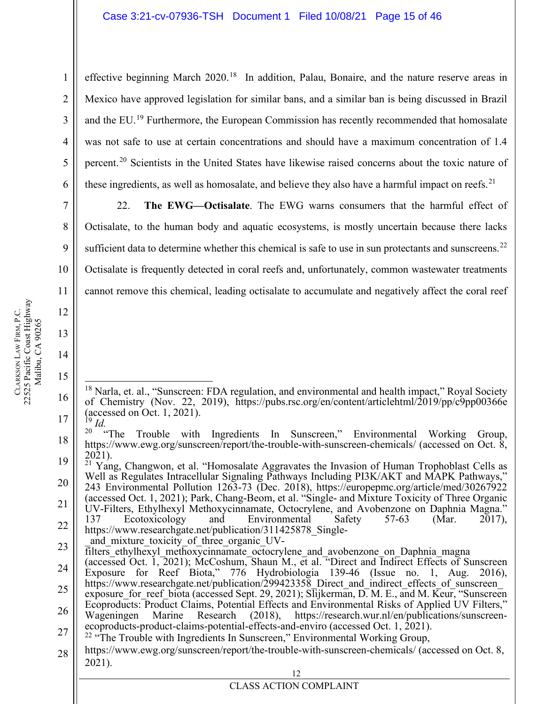effective beginning March 2020.<sup>[18](#page-14-0)</sup> In addition, Palau, Bonaire, and the nature reserve areas in Mexico have approved legislation for similar bans, and a similar ban is being discussed in Brazil and the EU.<sup>[19](#page-14-1)</sup> Furthermore, the European Commission has recently recommended that homosalate was not safe to use at certain concentrations and should have a maximum concentration of 1.4 percent.[20](#page-14-2) Scientists in the United States have likewise raised concerns about the toxic nature of these ingredients, as well as homosalate, and believe they also have a harmful impact on reefs.<sup>[21](#page-14-3)</sup>

22. **The EWG—Octisalate**. The EWG warns consumers that the harmful effect of Octisalate, to the human body and aquatic ecosystems, is mostly uncertain because there lacks sufficient data to determine whether this chemical is safe to use in sun protectants and sunscreens.<sup>[22](#page-14-4)</sup> Octisalate is frequently detected in coral reefs and, unfortunately, common wastewater treatments cannot remove this chemical, leading octisalate to accumulate and negatively affect the coral reef

23 and mixture toxicity of three organic UV-

1

2

3

4

5

6

7

8

9

10

11

12

13

14

15

<span id="page-14-0"></span><sup>16</sup> 17  $18$  Narla, et. al., "Sunscreen: FDA regulation, and environmental and health impact," Royal Society of Chemistry (Nov. 22, 2019), https://pubs.rsc.org/en/content/articlehtml/2019/pp/c9pp00366e (accessed on Oct. 1, 2021).<br><sup>19</sup> *Id.* <br><sup>20</sup> **The Trouble with** 

<span id="page-14-2"></span><span id="page-14-1"></span><sup>18</sup> 19 Trouble with Ingredients In Sunscreen," Environmental Working Group, https://www.ewg.org/sunscreen/report/the-trouble-with-sunscreen-chemicals/ (accessed on Oct. 8,

<span id="page-14-3"></span><sup>20</sup> 21 22 2021).<br><sup>21</sup> Yang, Changwon, et al. "Homosalate Aggravates the Invasion of Human Trophoblast Cells as Well as Regulates Intracellular Signaling Pathways Including PI3K/AKT and MAPK Pathways," 243 Environmental Pollution 1263-73 (Dec. 2018), https://europepmc.org/article/med/30267922 (accessed Oct. 1, 2021); Park, Chang-Beom, et al. "Single- and Mixture Toxicity of Three Organic UV-Filters, Ethylhexyl Methoxycinnamate, Octocrylene, and Avobenzone on Daphnia Magna." 137 Ecotoxicology and Environmental Safety 57-63 (Mar. 2017), https://www.researchgate.net/publication/311425878 Single-

filters ethylhexyl methoxycinnamate octocrylene and avobenzone on Daphnia magna

<sup>24</sup> 25 26 (accessed Oct. 1, 2021); McCoshum, Shaun M., et al. "Direct and Indirect Effects of Sunscreen Exposure for Reef Biota," 776 Hydrobiologia 139-46 (Issue no. 1, Aug. 2016), https://www.researchgate.net/publication/299423358 Direct and indirect effects of sunscreen exposure for reef biota (accessed Sept. 29, 2021);  $S$ lijkerman, D. M. E., and M. Keur, "Sunscreen Ecoproducts: Product Claims, Potential Effects and Environmental Risks of Applied UV Filters,"<br>Wageningen Marine Research (2018), https://research.wur.nl/en/publications/sunscreen-

<sup>27</sup> ecoproducts-product-claims-potential-effects-and-enviro (accessed Oct. 1, 2021). <sup>22</sup> "The Trouble with Ingredients In Sunscreen," Environmental Working Group,

<span id="page-14-4"></span><sup>28</sup> https://www.ewg.org/sunscreen/report/the-trouble-with-sunscreen-chemicals/ (accessed on Oct. 8, 2021).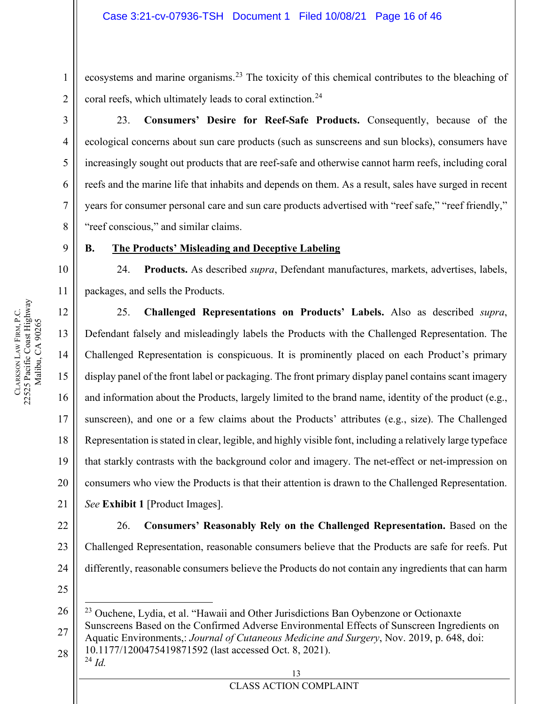ecosystems and marine organisms.<sup>[23](#page-15-0)</sup> The toxicity of this chemical contributes to the bleaching of coral reefs, which ultimately leads to coral extinction.<sup>[24](#page-15-1)</sup>

23. **Consumers' Desire for Reef-Safe Products.** Consequently, because of the ecological concerns about sun care products (such as sunscreens and sun blocks), consumers have increasingly sought out products that are reef-safe and otherwise cannot harm reefs, including coral reefs and the marine life that inhabits and depends on them. As a result, sales have surged in recent years for consumer personal care and sun care products advertised with "reef safe," "reef friendly," "reef conscious," and similar claims.

### **B. The Products' Misleading and Deceptive Labeling**

24. **Products.** As described *supra*, Defendant manufactures, markets, advertises, labels, packages, and sells the Products.

25. **Challenged Representations on Products' Labels.** Also as described *supra*, Defendant falsely and misleadingly labels the Products with the Challenged Representation. The Challenged Representation is conspicuous. It is prominently placed on each Product's primary display panel of the front label or packaging. The front primary display panel contains scant imagery and information about the Products, largely limited to the brand name, identity of the product (e.g., sunscreen), and one or a few claims about the Products' attributes (e.g., size). The Challenged Representation is stated in clear, legible, and highly visible font, including a relatively large typeface that starkly contrasts with the background color and imagery. The net-effect or net-impression on consumers who view the Products is that their attention is drawn to the Challenged Representation. *See* **Exhibit 1** [Product Images].

26. **Consumers' Reasonably Rely on the Challenged Representation.** Based on the Challenged Representation, reasonable consumers believe that the Products are safe for reefs. Put differently, reasonable consumers believe the Products do not contain any ingredients that can harm

- 25
- <span id="page-15-1"></span><span id="page-15-0"></span>26 27 28 <sup>23</sup> Ouchene, Lydia, et al. "Hawaii and Other Jurisdictions Ban Oybenzone or Octionaxte Sunscreens Based on the Confirmed Adverse Environmental Effects of Sunscreen Ingredients on Aquatic Environments,: *Journal of Cutaneous Medicine and Surgery*, Nov. 2019, p. 648, doi: 10.1177/1200475419871592 (last accessed Oct. 8, 2021). <sup>24</sup> *Id.*

13 CLASS ACTION COMPLAINT

1

2

3

4

5

6

7

8

9

10

11

12

13

14

15

16

17

18

19

20

21

22

23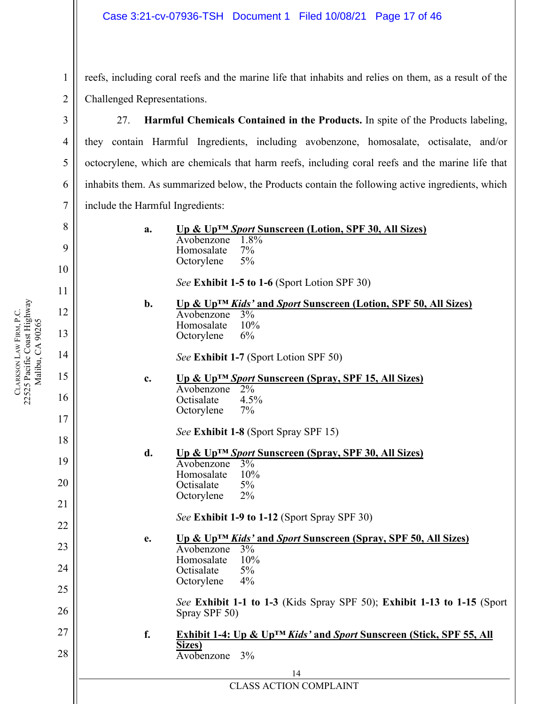reefs, including coral reefs and the marine life that inhabits and relies on them, as a result of the Challenged Representations.

27. **Harmful Chemicals Contained in the Products.** In spite of the Products labeling, they contain Harmful Ingredients, including avobenzone, homosalate, octisalate, and/or octocrylene, which are chemicals that harm reefs, including coral reefs and the marine life that inhabits them. As summarized below, the Products contain the following active ingredients, which include the Harmful Ingredients:

> **a. Up & Up™** *Sport* **Sunscreen (Lotion, SPF 30, All Sizes)** Avobenzone 1.8%<br>Homosalate 7% Homosalate Octorylene 5%

> > *See* **Exhibit 1-5 to 1-6** (Sport Lotion SPF 30)

**b. Up & Up™** *Kids'* **and** *Sport* **Sunscreen (Lotion, SPF 50, All Sizes)** Avobenzone 3% Homosalate 10% Octorylene 6%

*See* **Exhibit 1-7** (Sport Lotion SPF 50)

**c. Up & Up™** *Sport* **Sunscreen (Spray, SPF 15, All Sizes)** Avobenzone 2% Octisalate 4.5% Octorylene 7%

*See* **Exhibit 1-8** (Sport Spray SPF 15)

- **d. Up & Up™** *Sport* **Sunscreen (Spray, SPF 30, All Sizes)** Avobenzone 3% Homosalate 10%<br>Octisalate 5% **Octisalate** Octorylene 2%
	- *See* **Exhibit 1-9 to 1-12** (Sport Spray SPF 30)

**e. Up & Up™** *Kids'* **and** *Sport* **Sunscreen (Spray, SPF 50, All Sizes)** Avobenzone 3% Homosalate 10% Octisalate 5% Octorylene 4%

*See* **Exhibit 1-1 to 1-3** (Kids Spray SPF 50); **Exhibit 1-13 to 1-15** (Sport Spray SPF 50)

**f. Exhibit 1-4: Up & Up™** *Kids'* **and** *Sport* **Sunscreen (Stick, SPF 55, All Sizes)** Avobenzone 3%

> 14 CLASS ACTION COMPLAINT

1

2

3

4

5

6

7

8

9

18

19

20

21

22

23

24

25

26

27

28

**CLARKSON** 

LAW FIRM, P.C.

22525 Pacific Coast Highway

CLARKSON LAW FIRM, P.C.<br>22525 Pacific Coast Highway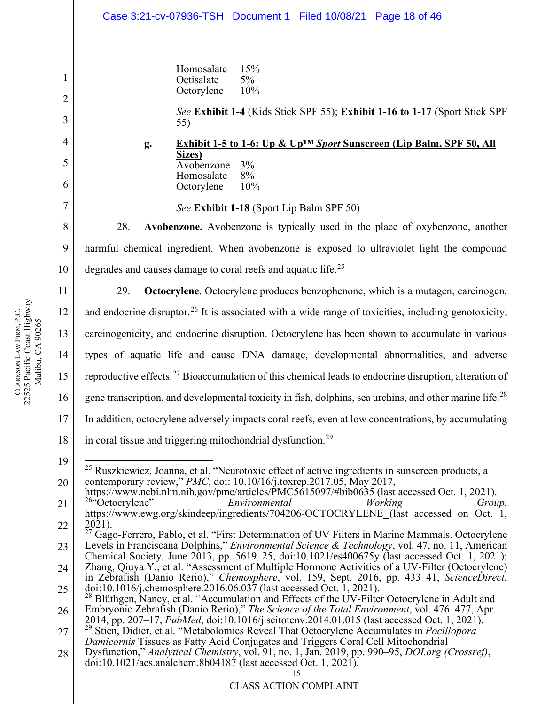<span id="page-17-4"></span><span id="page-17-3"></span><span id="page-17-2"></span><span id="page-17-1"></span><span id="page-17-0"></span>15 1 2 3 4 5 6 7 8 9 10 11 12 13 14 15 16 17 18 19 20 21 22 23 24 25 26 27 28 Homosalate 15% Octisalate 5% Octorylene 10% *See* **Exhibit 1-4** (Kids Stick SPF 55); **Exhibit 1-16 to 1-17** (Sport Stick SPF 55) **g. Exhibit 1-5 to 1-6: Up & Up™** *Sport* **Sunscreen (Lip Balm, SPF 50, All Sizes)** Avobenzone 3%<br>Homosalate 8% Homosalate Octorylene 10% *See* **Exhibit 1-18** (Sport Lip Balm SPF 50) 28. **Avobenzone.** Avobenzone is typically used in the place of oxybenzone, another harmful chemical ingredient. When avobenzone is exposed to ultraviolet light the compound degrades and causes damage to coral reefs and aquatic life.<sup>[25](#page-17-0)</sup> 29. **Octocrylene**. Octocrylene produces benzophenone, which is a mutagen, carcinogen, and endocrine disruptor.<sup>[26](#page-17-1)</sup> It is associated with a wide range of toxicities, including genotoxicity, carcinogenicity, and endocrine disruption. Octocrylene has been shown to accumulate in various types of aquatic life and cause DNA damage, developmental abnormalities, and adverse reproductive effects.[27](#page-17-2) Bioaccumulation of this chemical leads to endocrine disruption, alteration of gene transcription, and developmental toxicity in fish, dolphins, sea urchins, and other marine life.<sup>[28](#page-17-3)</sup> In addition, octocrylene adversely impacts coral reefs, even at low concentrations, by accumulating in coral tissue and triggering mitochondrial dysfunction.<sup>[29](#page-17-4)</sup>  $^{25}$  Ruszkiewicz, Joanna, et al. "Neurotoxic effect of active ingredients in sunscreen products, a contemporary review," *PMC*, doi: 10.10/16/j.toxrep.2017.05, May 2017, https://www.ncbi.nlm.nih.gov/pmc/articles/PMC5615097/#bib0635 (last accessed Oct. 1, 2021).<br><sup>26</sup> Octocrylene" *Environmental Working Group.* https://www.ewg.org/skindeep/ingredients/704206-OCTOCRYLENE (last accessed on Oct. 1, 2021). <sup>27</sup> Gago-Ferrero, Pablo, et al. "First Determination of UV Filters in Marine Mammals. Octocrylene Levels in Franciscana Dolphins," *Environmental Science & Technology*, vol. 47, no. 11, American Chemical Society, June 2013, pp. 5619–25, doi:10.1021/es400675y (last accessed Oct. 1, 2021); Zhang, Qiuya Y., et al. "Assessment of Multiple Hormone Activities of a UV-Filter (Octocrylene) in Zebrafish (Danio Rerio)," Chemosphere, vol. 159, Sept. 2016, pp. 433–41, ScienceDirect, doi:10.1016/j.chemosphere.2016.06.037 (last accessed Oct. 1, 2021).<br><sup>28</sup> Blüthgen, Nancy, et al. "Accumulation and Effects of the UV-Filter Octocrylene in Adult and Embryonic Zebrafish (Danio Rerio)," *The Science of the Total Environment*, vol. 476–477, Apr. <sup>29</sup> Stien, Didier, et al. "Metabolomics Reveal That Octocrylene Accumulates in *Pocillopora Damicornis* Tissues as Fatty Acid Conjugates and Triggers Coral Cell Mitochondrial Dysfunction," *Analytical Chemistry*, vol. 91, no. 1, Jan. 2019, pp. 990–95, *DOI.org (Crossref)*, doi:10.1021/acs.analchem.8b04187 (last accessed Oct. 1, 2021). Case 3:21-cv-07936-TSH Document 1 Filed 10/08/21 Page 18 of 46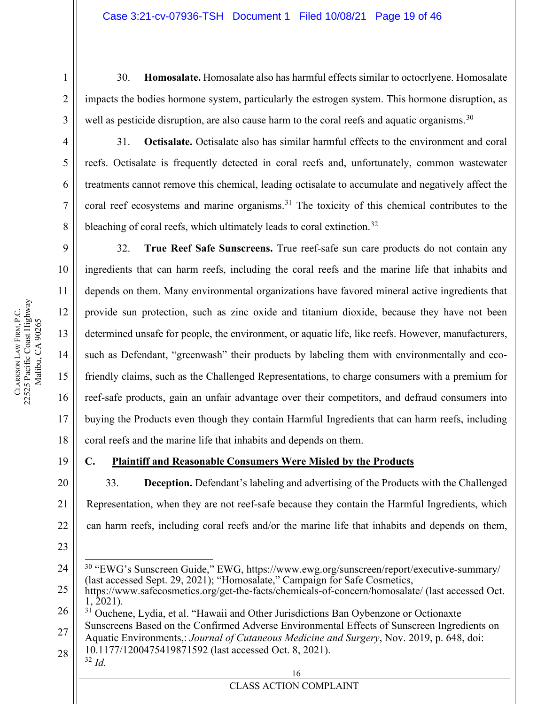30. **Homosalate.** Homosalate also has harmful effects similar to octocrlyene. Homosalate impacts the bodies hormone system, particularly the estrogen system. This hormone disruption, as well as pesticide disruption, are also cause harm to the coral reefs and aquatic organisms.<sup>[30](#page-18-0)</sup>

4 5 6

7

8

9

10

11

12

13

14

15

1

2

3

31. **Octisalate.** Octisalate also has similar harmful effects to the environment and coral reefs. Octisalate is frequently detected in coral reefs and, unfortunately, common wastewater treatments cannot remove this chemical, leading octisalate to accumulate and negatively affect the coral reef ecosystems and marine organisms.<sup>[31](#page-18-1)</sup> The toxicity of this chemical contributes to the bleaching of coral reefs, which ultimately leads to coral extinction.<sup>[32](#page-18-2)</sup>

32. **True Reef Safe Sunscreens.** True reef-safe sun care products do not contain any ingredients that can harm reefs, including the coral reefs and the marine life that inhabits and depends on them. Many environmental organizations have favored mineral active ingredients that provide sun protection, such as zinc oxide and titanium dioxide, because they have not been determined unsafe for people, the environment, or aquatic life, like reefs. However, manufacturers, such as Defendant, "greenwash" their products by labeling them with environmentally and ecofriendly claims, such as the Challenged Representations, to charge consumers with a premium for reef-safe products, gain an unfair advantage over their competitors, and defraud consumers into buying the Products even though they contain Harmful Ingredients that can harm reefs, including coral reefs and the marine life that inhabits and depends on them.

## **C. Plaintiff and Reasonable Consumers Were Misled by the Products**

33. **Deception.** Defendant's labeling and advertising of the Products with the Challenged Representation, when they are not reef-safe because they contain the Harmful Ingredients, which can harm reefs, including coral reefs and/or the marine life that inhabits and depends on them,

<span id="page-18-2"></span>16 28 10.1177/1200475419871592 (last accessed Oct. 8, 2021). <sup>32</sup> *Id.*

22

23

**CLARKSON** 

LAW FIRM, P.C.

22525 Pacific Coast Highway Malibu, CA 90265

CLARKSON LAW FIRM, P.C.<br>22525 Pacific Coast Highway Malibu, CA 90265

<span id="page-18-0"></span><sup>24</sup> <sup>30</sup> "EWG's Sunscreen Guide," EWG, https://www.ewg.org/sunscreen/report/executive-summary/ (last accessed Sept. 29, 2021); "Homosalate," Campaign for Safe Cosmetics,

<sup>25</sup> https://www.safecosmetics.org/get-the-facts/chemicals-of-concern/homosalate/ (last accessed Oct.  $1, \overline{2}021$ ).

<span id="page-18-1"></span><sup>26</sup> 27 <sup>31</sup> Ouchene, Lydia, et al. "Hawaii and Other Jurisdictions Ban Oybenzone or Octionaxte Sunscreens Based on the Confirmed Adverse Environmental Effects of Sunscreen Ingredients on Aquatic Environments,: *Journal of Cutaneous Medicine and Surgery*, Nov. 2019, p. 648, doi: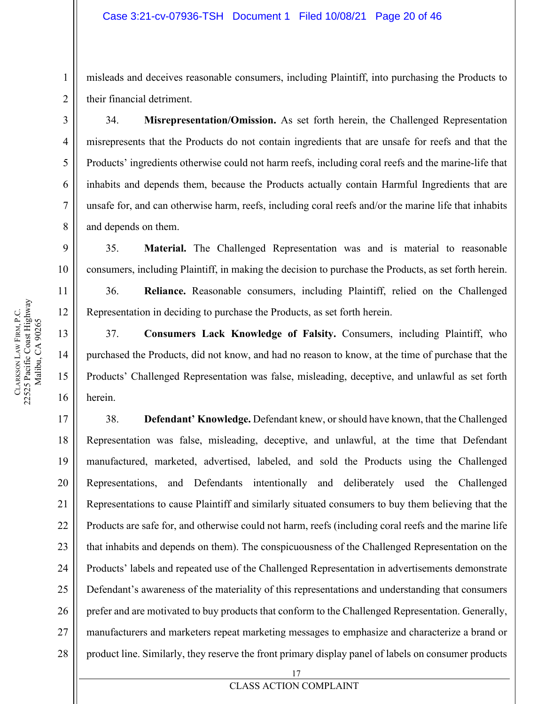misleads and deceives reasonable consumers, including Plaintiff, into purchasing the Products to their financial detriment.

34. **Misrepresentation/Omission.** As set forth herein, the Challenged Representation misrepresents that the Products do not contain ingredients that are unsafe for reefs and that the Products' ingredients otherwise could not harm reefs, including coral reefs and the marine-life that inhabits and depends them, because the Products actually contain Harmful Ingredients that are unsafe for, and can otherwise harm, reefs, including coral reefs and/or the marine life that inhabits and depends on them.

35. **Material.** The Challenged Representation was and is material to reasonable consumers, including Plaintiff, in making the decision to purchase the Products, as set forth herein.

36. **Reliance.** Reasonable consumers, including Plaintiff, relied on the Challenged Representation in deciding to purchase the Products, as set forth herein.

37. **Consumers Lack Knowledge of Falsity.** Consumers, including Plaintiff, who purchased the Products, did not know, and had no reason to know, at the time of purchase that the Products' Challenged Representation was false, misleading, deceptive, and unlawful as set forth herein.

17 18 19 20 21 22 23 24 25 26 27 28 38. **Defendant' Knowledge.** Defendant knew, or should have known, that the Challenged Representation was false, misleading, deceptive, and unlawful, at the time that Defendant manufactured, marketed, advertised, labeled, and sold the Products using the Challenged Representations, and Defendants intentionally and deliberately used the Challenged Representations to cause Plaintiff and similarly situated consumers to buy them believing that the Products are safe for, and otherwise could not harm, reefs (including coral reefs and the marine life that inhabits and depends on them). The conspicuousness of the Challenged Representation on the Products' labels and repeated use of the Challenged Representation in advertisements demonstrate Defendant's awareness of the materiality of this representations and understanding that consumers prefer and are motivated to buy products that conform to the Challenged Representation. Generally, manufacturers and marketers repeat marketing messages to emphasize and characterize a brand or product line. Similarly, they reserve the front primary display panel of labels on consumer products

1

2

3

4

5

6

7

8

9

10

11

12

13

14

15

16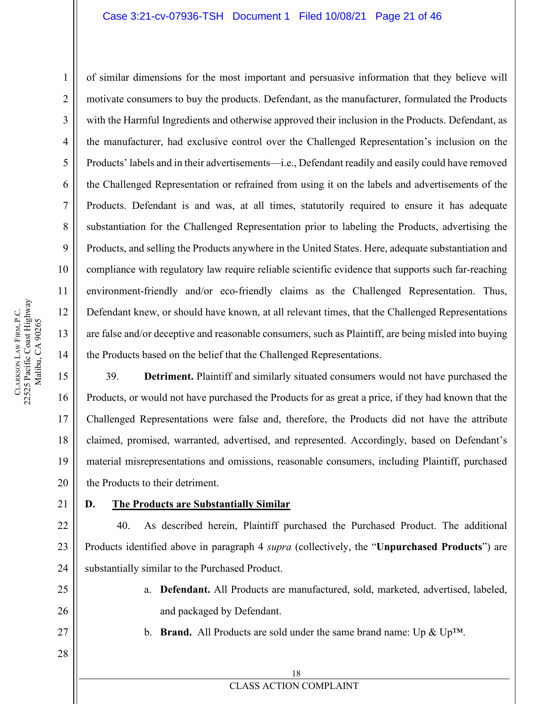### Case 3:21-cv-07936-TSH Document 1 Filed 10/08/21 Page 21 of 46

of similar dimensions for the most important and persuasive information that they believe will motivate consumers to buy the products. Defendant, as the manufacturer, formulated the Products with the Harmful Ingredients and otherwise approved their inclusion in the Products. Defendant, as the manufacturer, had exclusive control over the Challenged Representation's inclusion on the Products' labels and in their advertisements—i.e., Defendant readily and easily could have removed the Challenged Representation or refrained from using it on the labels and advertisements of the Products. Defendant is and was, at all times, statutorily required to ensure it has adequate substantiation for the Challenged Representation prior to labeling the Products, advertising the Products, and selling the Products anywhere in the United States. Here, adequate substantiation and compliance with regulatory law require reliable scientific evidence that supports such far-reaching environment-friendly and/or eco-friendly claims as the Challenged Representation. Thus, Defendant knew, or should have known, at all relevant times, that the Challenged Representations are false and/or deceptive and reasonable consumers, such as Plaintiff, are being misled into buying the Products based on the belief that the Challenged Representations.

39. **Detriment.** Plaintiff and similarly situated consumers would not have purchased the Products, or would not have purchased the Products for as great a price, if they had known that the Challenged Representations were false and, therefore, the Products did not have the attribute claimed, promised, warranted, advertised, and represented. Accordingly, based on Defendant's material misrepresentations and omissions, reasonable consumers, including Plaintiff, purchased the Products to their detriment.

21

### **D. The Products are Substantially Similar**

40. As described herein, Plaintiff purchased the Purchased Product. The additional Products identified above in paragraph 4 *supra* (collectively, the "**Unpurchased Products**") are substantially similar to the Purchased Product.

> a. **Defendant.** All Products are manufactured, sold, marketed, advertised, labeled, and packaged by Defendant.

27 28 b. **Brand.** All Products are sold under the same brand name: Up & Up™.

## CLASS ACTION COMPLAINT

1

2

3

4

5

6

7

8

9

10

11

12

13

14

15

16

17

18

19

20

22

23

24

25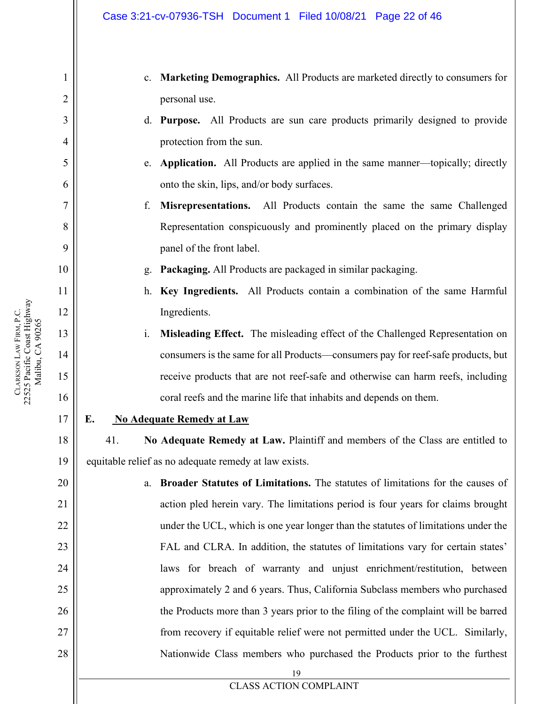- c. **Marketing Demographics.** All Products are marketed directly to consumers for personal use.
- d. **Purpose.** All Products are sun care products primarily designed to provide protection from the sun.
- e. **Application.** All Products are applied in the same manner—topically; directly onto the skin, lips, and/or body surfaces.
- f. **Misrepresentations.** All Products contain the same the same Challenged Representation conspicuously and prominently placed on the primary display panel of the front label.
- g. **Packaging.** All Products are packaged in similar packaging.
- h. **Key Ingredients.** All Products contain a combination of the same Harmful Ingredients.
- i. **Misleading Effect.** The misleading effect of the Challenged Representation on consumers is the same for all Products—consumers pay for reef-safe products, but receive products that are not reef-safe and otherwise can harm reefs, including coral reefs and the marine life that inhabits and depends on them.
- 17

18

19

20

21

22

23

24

25

26

27

28

1

2

3

4

5

6

7

8

9

10

11

12

13

14

15

16

### **E. No Adequate Remedy at Law**

41. **No Adequate Remedy at Law.** Plaintiff and members of the Class are entitled to equitable relief as no adequate remedy at law exists.

19 a. **Broader Statutes of Limitations.** The statutes of limitations for the causes of action pled herein vary. The limitations period is four years for claims brought under the UCL, which is one year longer than the statutes of limitations under the FAL and CLRA. In addition, the statutes of limitations vary for certain states' laws for breach of warranty and unjust enrichment/restitution, between approximately 2 and 6 years. Thus, California Subclass members who purchased the Products more than 3 years prior to the filing of the complaint will be barred from recovery if equitable relief were not permitted under the UCL. Similarly, Nationwide Class members who purchased the Products prior to the furthest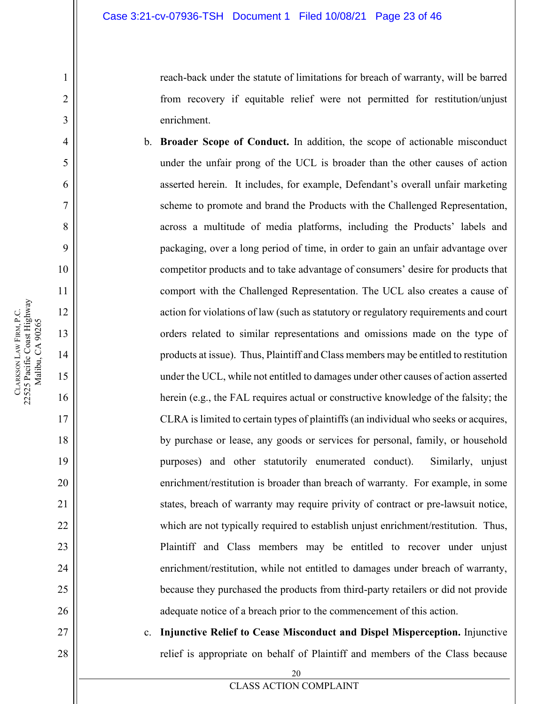reach-back under the statute of limitations for breach of warranty, will be barred from recovery if equitable relief were not permitted for restitution/unjust enrichment.

b. **Broader Scope of Conduct.** In addition, the scope of actionable misconduct under the unfair prong of the UCL is broader than the other causes of action asserted herein. It includes, for example, Defendant's overall unfair marketing scheme to promote and brand the Products with the Challenged Representation, across a multitude of media platforms, including the Products' labels and packaging, over a long period of time, in order to gain an unfair advantage over competitor products and to take advantage of consumers' desire for products that comport with the Challenged Representation. The UCL also creates a cause of action for violations of law (such as statutory or regulatory requirements and court orders related to similar representations and omissions made on the type of products at issue). Thus, Plaintiff and Class members may be entitled to restitution under the UCL, while not entitled to damages under other causes of action asserted herein (e.g., the FAL requires actual or constructive knowledge of the falsity; the CLRA is limited to certain types of plaintiffs (an individual who seeks or acquires, by purchase or lease, any goods or services for personal, family, or household purposes) and other statutorily enumerated conduct). Similarly, unjust enrichment/restitution is broader than breach of warranty. For example, in some states, breach of warranty may require privity of contract or pre-lawsuit notice, which are not typically required to establish unjust enrichment/restitution. Thus, Plaintiff and Class members may be entitled to recover under unjust enrichment/restitution, while not entitled to damages under breach of warranty, because they purchased the products from third-party retailers or did not provide adequate notice of a breach prior to the commencement of this action.

c. **Injunctive Relief to Cease Misconduct and Dispel Misperception.** Injunctive relief is appropriate on behalf of Plaintiff and members of the Class because

1

2

3

4

5

6

7

8

9

10

11

12

13

14

15

16

17

18

19

20

21

22

23

24

25

26

27

28

20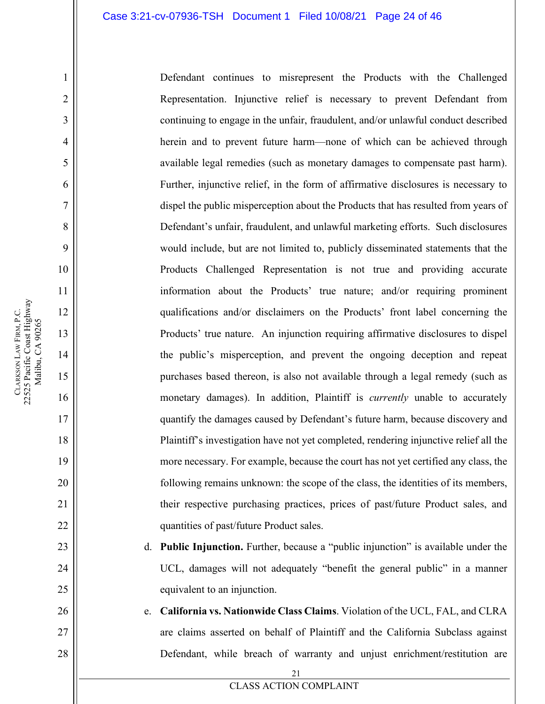Defendant continues to misrepresent the Products with the Challenged Representation. Injunctive relief is necessary to prevent Defendant from continuing to engage in the unfair, fraudulent, and/or unlawful conduct described herein and to prevent future harm—none of which can be achieved through available legal remedies (such as monetary damages to compensate past harm). Further, injunctive relief, in the form of affirmative disclosures is necessary to dispel the public misperception about the Products that has resulted from years of Defendant's unfair, fraudulent, and unlawful marketing efforts. Such disclosures would include, but are not limited to, publicly disseminated statements that the Products Challenged Representation is not true and providing accurate information about the Products' true nature; and/or requiring prominent qualifications and/or disclaimers on the Products' front label concerning the Products' true nature. An injunction requiring affirmative disclosures to dispel the public's misperception, and prevent the ongoing deception and repeat purchases based thereon, is also not available through a legal remedy (such as monetary damages). In addition, Plaintiff is *currently* unable to accurately quantify the damages caused by Defendant's future harm, because discovery and Plaintiff's investigation have not yet completed, rendering injunctive relief all the more necessary. For example, because the court has not yet certified any class, the following remains unknown: the scope of the class, the identities of its members, their respective purchasing practices, prices of past/future Product sales, and quantities of past/future Product sales.

- d. **Public Injunction.** Further, because a "public injunction" is available under the UCL, damages will not adequately "benefit the general public" in a manner equivalent to an injunction.
- e. **California vs. Nationwide Class Claims**. Violation of the UCL, FAL, and CLRA are claims asserted on behalf of Plaintiff and the California Subclass against Defendant, while breach of warranty and unjust enrichment/restitution are

1

2

3

4

5

6

7

8

9

10

11

12

13

14

15

16

17

18

19

20

21

22

23

24

25

26

27

28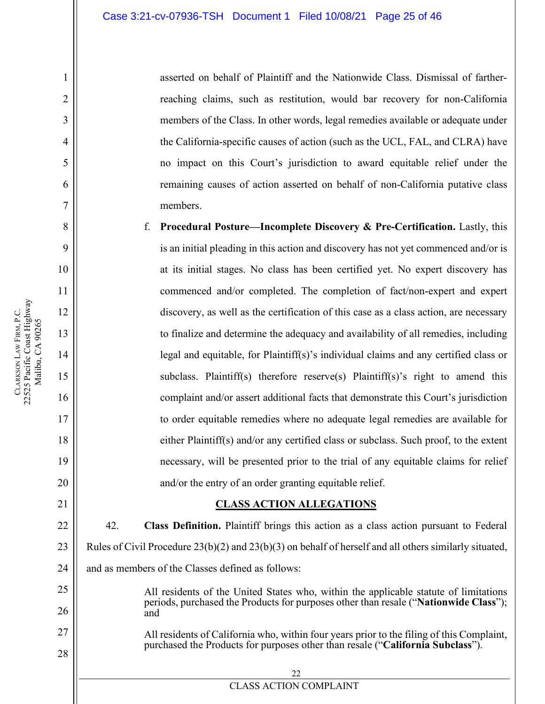asserted on behalf of Plaintiff and the Nationwide Class. Dismissal of fartherreaching claims, such as restitution, would bar recovery for non-California members of the Class. In other words, legal remedies available or adequate under the California-specific causes of action (such as the UCL, FAL, and CLRA) have no impact on this Court's jurisdiction to award equitable relief under the remaining causes of action asserted on behalf of non-California putative class members.

f. **Procedural Posture—Incomplete Discovery & Pre-Certification.** Lastly, this is an initial pleading in this action and discovery has not yet commenced and/or is at its initial stages. No class has been certified yet. No expert discovery has commenced and/or completed. The completion of fact/non-expert and expert discovery, as well as the certification of this case as a class action, are necessary to finalize and determine the adequacy and availability of all remedies, including legal and equitable, for Plaintiff(s)'s individual claims and any certified class or subclass. Plaintiff(s) therefore reserve(s) Plaintiff(s)'s right to amend this complaint and/or assert additional facts that demonstrate this Court's jurisdiction to order equitable remedies where no adequate legal remedies are available for either Plaintiff(s) and/or any certified class or subclass. Such proof, to the extent necessary, will be presented prior to the trial of any equitable claims for relief and/or the entry of an order granting equitable relief.

### **CLASS ACTION ALLEGATIONS**

22 23 24 42. **Class Definition.** Plaintiff brings this action as a class action pursuant to Federal Rules of Civil Procedure 23(b)(2) and 23(b)(3) on behalf of herself and all others similarly situated, and as members of the Classes defined as follows:

- All residents of the United States who, within the applicable statute of limitations periods, purchased the Products for purposes other than resale ("**Nationwide Class**"); and
- All residents of California who, within four years prior to the filing of this Complaint, purchased the Products for purposes other than resale ("**California Subclass**").

1

2

3

4

5

6

7

8

9

10

11

12

13

14

15

16

17

18

19

20

21

25

26

27

28

22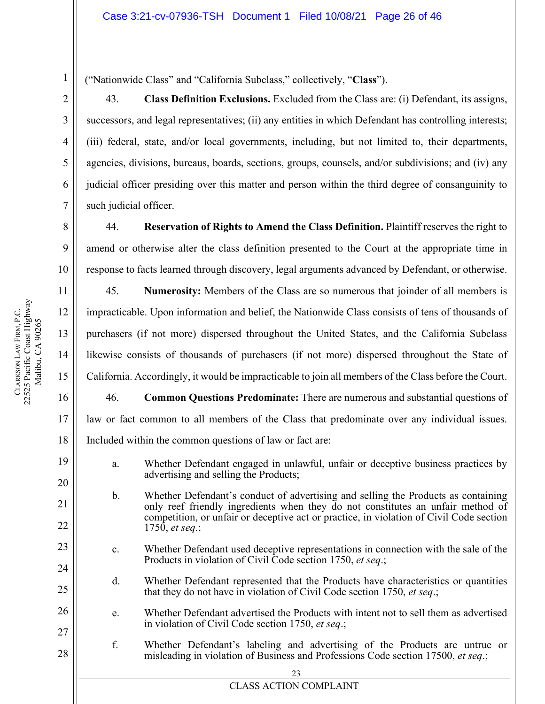("Nationwide Class" and "California Subclass," collectively, "**Class**").

43. **Class Definition Exclusions.** Excluded from the Class are: (i) Defendant, its assigns, successors, and legal representatives; (ii) any entities in which Defendant has controlling interests; (iii) federal, state, and/or local governments, including, but not limited to, their departments, agencies, divisions, bureaus, boards, sections, groups, counsels, and/or subdivisions; and (iv) any judicial officer presiding over this matter and person within the third degree of consanguinity to such judicial officer.

44. **Reservation of Rights to Amend the Class Definition.** Plaintiff reserves the right to amend or otherwise alter the class definition presented to the Court at the appropriate time in response to facts learned through discovery, legal arguments advanced by Defendant, or otherwise.

45. **Numerosity:** Members of the Class are so numerous that joinder of all members is impracticable. Upon information and belief, the Nationwide Class consists of tens of thousands of purchasers (if not more) dispersed throughout the United States, and the California Subclass likewise consists of thousands of purchasers (if not more) dispersed throughout the State of California. Accordingly, it would be impracticable to join all members of the Class before the Court.

46. **Common Questions Predominate:** There are numerous and substantial questions of law or fact common to all members of the Class that predominate over any individual issues. Included within the common questions of law or fact are:

- a. Whether Defendant engaged in unlawful, unfair or deceptive business practices by advertising and selling the Products;
- b. Whether Defendant's conduct of advertising and selling the Products as containing only reef friendly ingredients when they do not constitutes an unfair method of competition, or unfair or deceptive act or practice, in violation of Civil Code section 1750, *et seq*.;
	- c. Whether Defendant used deceptive representations in connection with the sale of the Products in violation of Civil Code section 1750, *et seq*.;
	- d. Whether Defendant represented that the Products have characteristics or quantities that they do not have in violation of Civil Code section 1750, *et seq*.;
- e. Whether Defendant advertised the Products with intent not to sell them as advertised in violation of Civil Code section 1750, *et seq*.;
	- f. Whether Defendant's labeling and advertising of the Products are untrue or misleading in violation of Business and Professions Code section 17500, *et seq*.;

18

19

20

21

22

23

24

25

26

27

28

1

2

3

4

5

6

7

8

9

**CLARKSON** 

LAW FIRM, P.C.

22525 Pacific Coast Highway Malibu, CA 90265

CLARKSON LAW FIRM, P.C.<br>22525 Pacific Coast Highway Malibu, CA 90265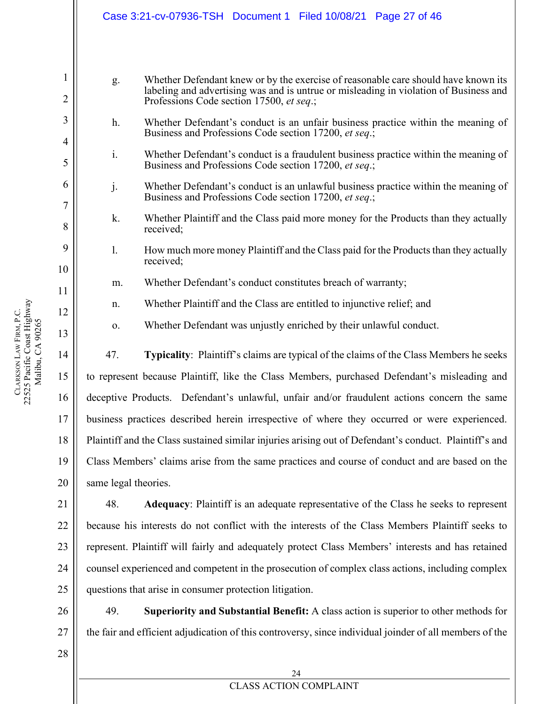|                   |                                                                                                        | Case 3:21-cv-07936-TSH  Document 1  Filed 10/08/21  Page 27  of 46                                                                                                                                                      |
|-------------------|--------------------------------------------------------------------------------------------------------|-------------------------------------------------------------------------------------------------------------------------------------------------------------------------------------------------------------------------|
|                   |                                                                                                        |                                                                                                                                                                                                                         |
| $\mathbf{1}$<br>2 | g.                                                                                                     | Whether Defendant knew or by the exercise of reasonable care should have known its<br>labeling and advertising was and is untrue or misleading in violation of Business and<br>Professions Code section 17500, et seq.; |
| 3<br>4            | h.                                                                                                     | Whether Defendant's conduct is an unfair business practice within the meaning of<br>Business and Professions Code section 17200, et seq.;                                                                               |
| 5                 | i.                                                                                                     | Whether Defendant's conduct is a fraudulent business practice within the meaning of<br>Business and Professions Code section 17200, et seq.;                                                                            |
| 6<br>7            | j.                                                                                                     | Whether Defendant's conduct is an unlawful business practice within the meaning of<br>Business and Professions Code section 17200, et seq.;                                                                             |
| 8                 | k.                                                                                                     | Whether Plaintiff and the Class paid more money for the Products than they actually<br>received;                                                                                                                        |
| 9<br>10           | 1.                                                                                                     | How much more money Plaintiff and the Class paid for the Products than they actually<br>received;                                                                                                                       |
| 11                | m.                                                                                                     | Whether Defendant's conduct constitutes breach of warranty;                                                                                                                                                             |
| 12                | n.                                                                                                     | Whether Plaintiff and the Class are entitled to injunctive relief; and                                                                                                                                                  |
| 13                | 0.                                                                                                     | Whether Defendant was unjustly enriched by their unlawful conduct.                                                                                                                                                      |
| 14                | 47.                                                                                                    | <b>Typicality:</b> Plaintiff's claims are typical of the claims of the Class Members he seeks                                                                                                                           |
| 15                |                                                                                                        | to represent because Plaintiff, like the Class Members, purchased Defendant's misleading and                                                                                                                            |
| 16                |                                                                                                        | deceptive Products. Defendant's unlawful, unfair and/or fraudulent actions concern the same                                                                                                                             |
| 17                | business practices described herein irrespective of where they occurred or were experienced.           |                                                                                                                                                                                                                         |
| 18                | Plaintiff and the Class sustained similar injuries arising out of Defendant's conduct. Plaintiff's and |                                                                                                                                                                                                                         |
| 19                | Class Members' claims arise from the same practices and course of conduct and are based on the         |                                                                                                                                                                                                                         |
| 20                | same legal theories.                                                                                   |                                                                                                                                                                                                                         |
| 21                | 48.                                                                                                    | Adequacy: Plaintiff is an adequate representative of the Class he seeks to represent                                                                                                                                    |
| 22                |                                                                                                        | because his interests do not conflict with the interests of the Class Members Plaintiff seeks to                                                                                                                        |
| 23                |                                                                                                        | represent. Plaintiff will fairly and adequately protect Class Members' interests and has retained                                                                                                                       |

25 questions that arise in consumer protection litigation.

26 27 49. **Superiority and Substantial Benefit:** A class action is superior to other methods for the fair and efficient adjudication of this controversy, since individual joinder of all members of the

counsel experienced and competent in the prosecution of complex class actions, including complex

28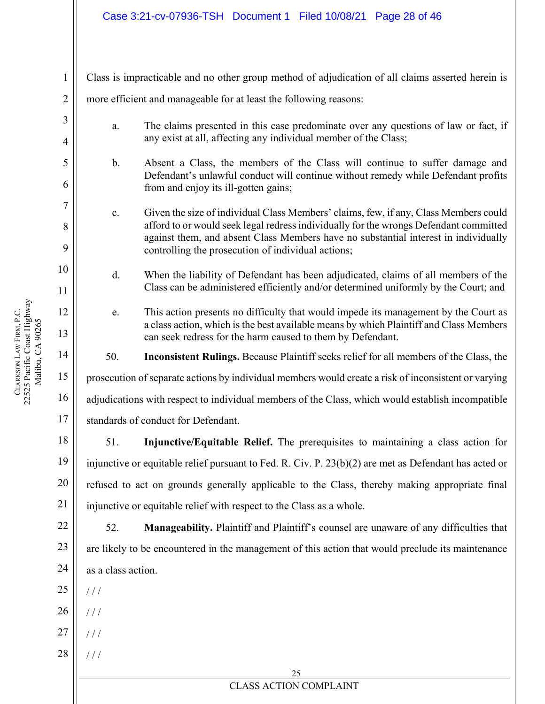Class is impracticable and no other group method of adjudication of all claims asserted herein is more efficient and manageable for at least the following reasons:

- a. The claims presented in this case predominate over any questions of law or fact, if any exist at all, affecting any individual member of the Class;
- b. Absent a Class, the members of the Class will continue to suffer damage and Defendant's unlawful conduct will continue without remedy while Defendant profits from and enjoy its ill-gotten gains;
- c. Given the size of individual Class Members' claims, few, if any, Class Members could afford to or would seek legal redress individually for the wrongs Defendant committed against them, and absent Class Members have no substantial interest in individually controlling the prosecution of individual actions;
- d. When the liability of Defendant has been adjudicated, claims of all members of the Class can be administered efficiently and/or determined uniformly by the Court; and
	- e. This action presents no difficulty that would impede its management by the Court as a class action, which is the best available means by which Plaintiff and Class Members can seek redress for the harm caused to them by Defendant.

50. **Inconsistent Rulings.** Because Plaintiff seeks relief for all members of the Class, the

prosecution of separate actions by individual members would create a risk of inconsistent or varying

adjudications with respect to individual members of the Class, which would establish incompatible

standards of conduct for Defendant.

51. **Injunctive/Equitable Relief.** The prerequisites to maintaining a class action for injunctive or equitable relief pursuant to Fed. R. Civ. P. 23(b)(2) are met as Defendant has acted or refused to act on grounds generally applicable to the Class, thereby making appropriate final injunctive or equitable relief with respect to the Class as a whole.

52. **Manageability.** Plaintiff and Plaintiff's counsel are unaware of any difficulties that are likely to be encountered in the management of this action that would preclude its maintenance as a class action.

25  $1/1$ 

- 26  $/$   $/$
- 27  $/$  /  $/$
- 28 / / /

25

### CLASS ACTION COMPLAINT

1

2

3

4

5

6

7

8

9

10

11

12

13

14

15

16

17

18

19

20

21

22

23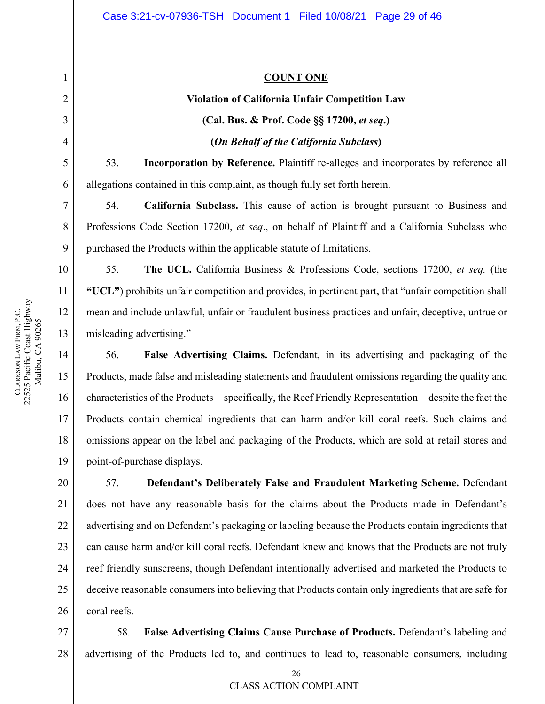### **COUNT ONE**

# **Violation of California Unfair Competition Law (Cal. Bus. & Prof. Code §§ 17200,** *et seq***.) (***On Behalf of the California Subclass***)**

53. **Incorporation by Reference.** Plaintiff re-alleges and incorporates by reference all allegations contained in this complaint, as though fully set forth herein.

54. **California Subclass.** This cause of action is brought pursuant to Business and Professions Code Section 17200, *et seq*., on behalf of Plaintiff and a California Subclass who purchased the Products within the applicable statute of limitations.

55. **The UCL.** California Business & Professions Code, sections 17200, *et seq.* (the **"UCL"**) prohibits unfair competition and provides, in pertinent part, that "unfair competition shall mean and include unlawful, unfair or fraudulent business practices and unfair, deceptive, untrue or misleading advertising."

56. **False Advertising Claims.** Defendant, in its advertising and packaging of the Products, made false and misleading statements and fraudulent omissions regarding the quality and characteristics of the Products—specifically, the Reef Friendly Representation—despite the fact the Products contain chemical ingredients that can harm and/or kill coral reefs. Such claims and omissions appear on the label and packaging of the Products, which are sold at retail stores and point-of-purchase displays.

57. **Defendant's Deliberately False and Fraudulent Marketing Scheme.** Defendant does not have any reasonable basis for the claims about the Products made in Defendant's advertising and on Defendant's packaging or labeling because the Products contain ingredients that can cause harm and/or kill coral reefs. Defendant knew and knows that the Products are not truly reef friendly sunscreens, though Defendant intentionally advertised and marketed the Products to deceive reasonable consumers into believing that Products contain only ingredients that are safe for coral reefs.

28 58. **False Advertising Claims Cause Purchase of Products.** Defendant's labeling and advertising of the Products led to, and continues to lead to, reasonable consumers, including

1

2

3

4

5

6

7

8

9

10

11

12

13

14

15

16

17

18

19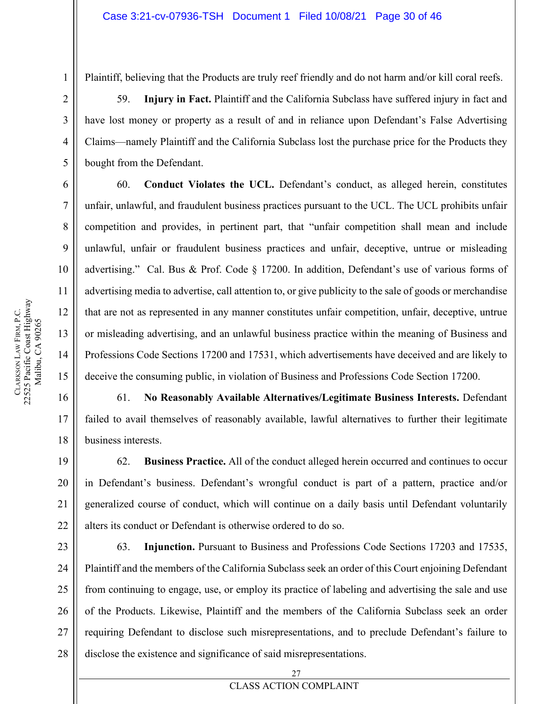17

18

19

20

21

22

1

Plaintiff, believing that the Products are truly reef friendly and do not harm and/or kill coral reefs.

59. **Injury in Fact.** Plaintiff and the California Subclass have suffered injury in fact and have lost money or property as a result of and in reliance upon Defendant's False Advertising Claims—namely Plaintiff and the California Subclass lost the purchase price for the Products they bought from the Defendant.

60. **Conduct Violates the UCL.** Defendant's conduct, as alleged herein, constitutes unfair, unlawful, and fraudulent business practices pursuant to the UCL. The UCL prohibits unfair competition and provides, in pertinent part, that "unfair competition shall mean and include unlawful, unfair or fraudulent business practices and unfair, deceptive, untrue or misleading advertising." Cal. Bus & Prof. Code § 17200. In addition, Defendant's use of various forms of advertising media to advertise, call attention to, or give publicity to the sale of goods or merchandise that are not as represented in any manner constitutes unfair competition, unfair, deceptive, untrue or misleading advertising, and an unlawful business practice within the meaning of Business and Professions Code Sections 17200 and 17531, which advertisements have deceived and are likely to deceive the consuming public, in violation of Business and Professions Code Section 17200.

61. **No Reasonably Available Alternatives/Legitimate Business Interests.** Defendant failed to avail themselves of reasonably available, lawful alternatives to further their legitimate business interests.

62. **Business Practice.** All of the conduct alleged herein occurred and continues to occur in Defendant's business. Defendant's wrongful conduct is part of a pattern, practice and/or generalized course of conduct, which will continue on a daily basis until Defendant voluntarily alters its conduct or Defendant is otherwise ordered to do so.

23 24 25 26 27 28 63. **Injunction.** Pursuant to Business and Professions Code Sections 17203 and 17535, Plaintiff and the members of the California Subclass seek an order of this Court enjoining Defendant from continuing to engage, use, or employ its practice of labeling and advertising the sale and use of the Products. Likewise, Plaintiff and the members of the California Subclass seek an order requiring Defendant to disclose such misrepresentations, and to preclude Defendant's failure to disclose the existence and significance of said misrepresentations.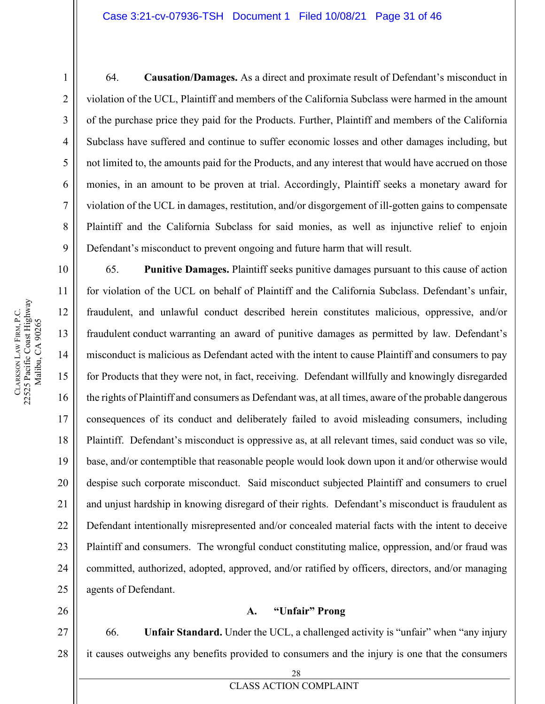64. **Causation/Damages.** As a direct and proximate result of Defendant's misconduct in violation of the UCL, Plaintiff and members of the California Subclass were harmed in the amount of the purchase price they paid for the Products. Further, Plaintiff and members of the California Subclass have suffered and continue to suffer economic losses and other damages including, but not limited to, the amounts paid for the Products, and any interest that would have accrued on those monies, in an amount to be proven at trial. Accordingly, Plaintiff seeks a monetary award for violation of the UCL in damages, restitution, and/or disgorgement of ill-gotten gains to compensate Plaintiff and the California Subclass for said monies, as well as injunctive relief to enjoin Defendant's misconduct to prevent ongoing and future harm that will result.

65. **Punitive Damages.** Plaintiff seeks punitive damages pursuant to this cause of action for violation of the UCL on behalf of Plaintiff and the California Subclass. Defendant's unfair, fraudulent, and unlawful conduct described herein constitutes malicious, oppressive, and/or fraudulent conduct warranting an award of punitive damages as permitted by law. Defendant's misconduct is malicious as Defendant acted with the intent to cause Plaintiff and consumers to pay for Products that they were not, in fact, receiving. Defendant willfully and knowingly disregarded the rights of Plaintiff and consumers as Defendant was, at all times, aware of the probable dangerous consequences of its conduct and deliberately failed to avoid misleading consumers, including Plaintiff. Defendant's misconduct is oppressive as, at all relevant times, said conduct was so vile, base, and/or contemptible that reasonable people would look down upon it and/or otherwise would despise such corporate misconduct. Said misconduct subjected Plaintiff and consumers to cruel and unjust hardship in knowing disregard of their rights. Defendant's misconduct is fraudulent as Defendant intentionally misrepresented and/or concealed material facts with the intent to deceive Plaintiff and consumers. The wrongful conduct constituting malice, oppression, and/or fraud was committed, authorized, adopted, approved, and/or ratified by officers, directors, and/or managing agents of Defendant.

### **A. "Unfair" Prong**

27 28 66. **Unfair Standard.** Under the UCL, a challenged activity is "unfair" when "any injury it causes outweighs any benefits provided to consumers and the injury is one that the consumers

1

2

3

4

5

6

7

8

9

10

11

12

13

14

15

16

17

18

19

20

21

22

23

24

25

26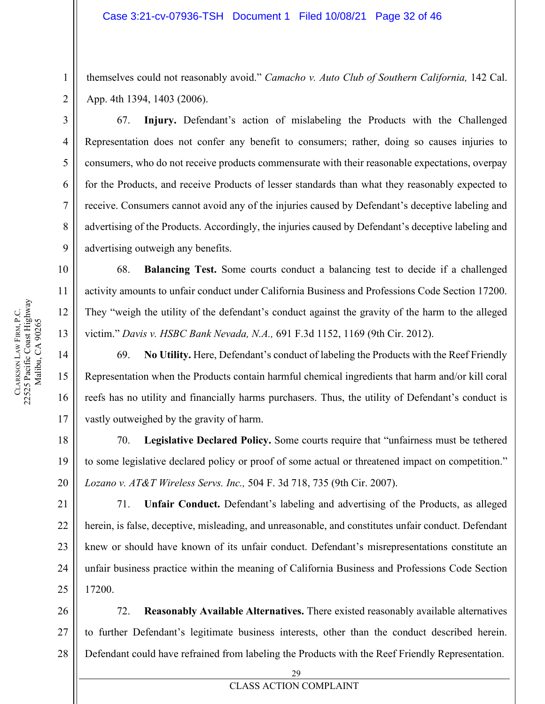themselves could not reasonably avoid." *Camacho v. Auto Club of Southern California,* 142 Cal. App. 4th 1394, 1403 (2006).

67. **Injury.** Defendant's action of mislabeling the Products with the Challenged Representation does not confer any benefit to consumers; rather, doing so causes injuries to consumers, who do not receive products commensurate with their reasonable expectations, overpay for the Products, and receive Products of lesser standards than what they reasonably expected to receive. Consumers cannot avoid any of the injuries caused by Defendant's deceptive labeling and advertising of the Products. Accordingly, the injuries caused by Defendant's deceptive labeling and advertising outweigh any benefits.

68. **Balancing Test.** Some courts conduct a balancing test to decide if a challenged activity amounts to unfair conduct under California Business and Professions Code Section 17200. They "weigh the utility of the defendant's conduct against the gravity of the harm to the alleged victim." *Davis v. HSBC Bank Nevada, N.A.,* 691 F.3d 1152, 1169 (9th Cir. 2012).

69. **No Utility.** Here, Defendant's conduct of labeling the Products with the Reef Friendly Representation when the Products contain harmful chemical ingredients that harm and/or kill coral reefs has no utility and financially harms purchasers. Thus, the utility of Defendant's conduct is vastly outweighed by the gravity of harm.

70. **Legislative Declared Policy.** Some courts require that "unfairness must be tethered to some legislative declared policy or proof of some actual or threatened impact on competition." *Lozano v. AT&T Wireless Servs. Inc.,* 504 F. 3d 718, 735 (9th Cir. 2007).

71. **Unfair Conduct.** Defendant's labeling and advertising of the Products, as alleged herein, is false, deceptive, misleading, and unreasonable, and constitutes unfair conduct. Defendant knew or should have known of its unfair conduct. Defendant's misrepresentations constitute an unfair business practice within the meaning of California Business and Professions Code Section 17200.

28 72. **Reasonably Available Alternatives.** There existed reasonably available alternatives to further Defendant's legitimate business interests, other than the conduct described herein. Defendant could have refrained from labeling the Products with the Reef Friendly Representation.

1

2

3

4

5

6

7

8

9

10

11

12

13

14

15

16

17

18

19

20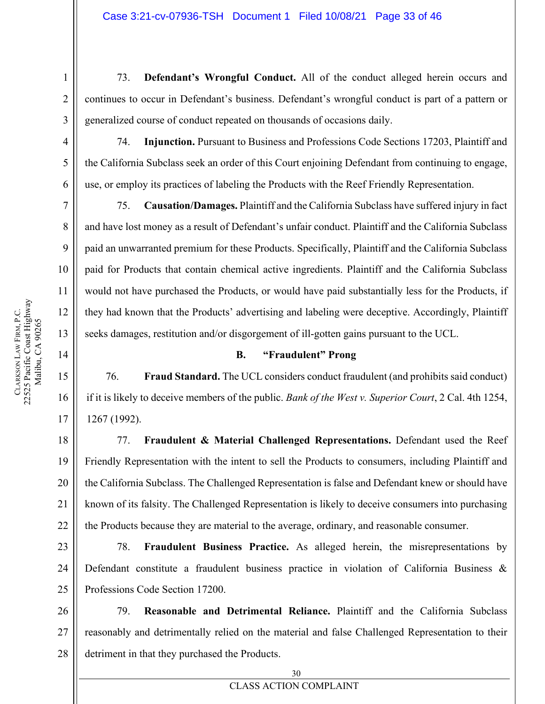73. **Defendant's Wrongful Conduct.** All of the conduct alleged herein occurs and continues to occur in Defendant's business. Defendant's wrongful conduct is part of a pattern or generalized course of conduct repeated on thousands of occasions daily.

74. **Injunction.** Pursuant to Business and Professions Code Sections 17203, Plaintiff and the California Subclass seek an order of this Court enjoining Defendant from continuing to engage, use, or employ its practices of labeling the Products with the Reef Friendly Representation.

75. **Causation/Damages.** Plaintiff and the California Subclass have suffered injury in fact and have lost money as a result of Defendant's unfair conduct. Plaintiff and the California Subclass paid an unwarranted premium for these Products. Specifically, Plaintiff and the California Subclass paid for Products that contain chemical active ingredients. Plaintiff and the California Subclass would not have purchased the Products, or would have paid substantially less for the Products, if they had known that the Products' advertising and labeling were deceptive. Accordingly, Plaintiff seeks damages, restitution and/or disgorgement of ill-gotten gains pursuant to the UCL.

### **B. "Fraudulent" Prong**

76. **Fraud Standard.** The UCL considers conduct fraudulent (and prohibits said conduct) if it is likely to deceive members of the public. *Bank of the West v. Superior Court*, 2 Cal. 4th 1254, 1267 (1992).

77. **Fraudulent & Material Challenged Representations.** Defendant used the Reef Friendly Representation with the intent to sell the Products to consumers, including Plaintiff and the California Subclass. The Challenged Representation is false and Defendant knew or should have known of its falsity. The Challenged Representation is likely to deceive consumers into purchasing the Products because they are material to the average, ordinary, and reasonable consumer.

78. **Fraudulent Business Practice.** As alleged herein, the misrepresentations by Defendant constitute a fraudulent business practice in violation of California Business & Professions Code Section 17200.

79. **Reasonable and Detrimental Reliance.** Plaintiff and the California Subclass reasonably and detrimentally relied on the material and false Challenged Representation to their detriment in that they purchased the Products.

1

2

3

4

5

6

7

8

9

10

11

12

13

14

15

16

17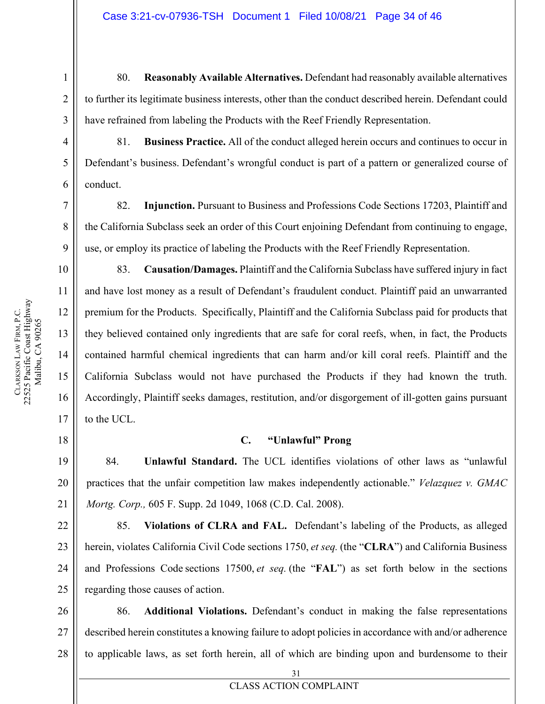80. **Reasonably Available Alternatives.** Defendant had reasonably available alternatives to further its legitimate business interests, other than the conduct described herein. Defendant could have refrained from labeling the Products with the Reef Friendly Representation.

81. **Business Practice.** All of the conduct alleged herein occurs and continues to occur in Defendant's business. Defendant's wrongful conduct is part of a pattern or generalized course of conduct.

82. **Injunction.** Pursuant to Business and Professions Code Sections 17203, Plaintiff and the California Subclass seek an order of this Court enjoining Defendant from continuing to engage, use, or employ its practice of labeling the Products with the Reef Friendly Representation.

83. **Causation/Damages.** Plaintiff and the California Subclass have suffered injury in fact and have lost money as a result of Defendant's fraudulent conduct. Plaintiff paid an unwarranted premium for the Products. Specifically, Plaintiff and the California Subclass paid for products that they believed contained only ingredients that are safe for coral reefs, when, in fact, the Products contained harmful chemical ingredients that can harm and/or kill coral reefs. Plaintiff and the California Subclass would not have purchased the Products if they had known the truth. Accordingly, Plaintiff seeks damages, restitution, and/or disgorgement of ill-gotten gains pursuant to the UCL.

### **C. "Unlawful" Prong**

84. **Unlawful Standard.** The UCL identifies violations of other laws as "unlawful practices that the unfair competition law makes independently actionable." *Velazquez v. GMAC Mortg. Corp.,* 605 F. Supp. 2d 1049, 1068 (C.D. Cal. 2008).

85. **Violations of CLRA and FAL.** Defendant's labeling of the Products, as alleged herein, violates California Civil Code sections 1750, et seq. (the "**CLRA**") and California Business and Professions Code sections 17500, et seq. (the "**FAL**") as set forth below in the sections regarding those causes of action.

26 27 28 86. **Additional Violations.** Defendant's conduct in making the false representations described herein constitutes a knowing failure to adopt policies in accordance with and/or adherence to applicable laws, as set forth herein, all of which are binding upon and burdensome to their

1

2

3

4

5

6

7

8

9

10

11

12

13

14

15

16

17

18

19

20

21

22

23

24

25

## 31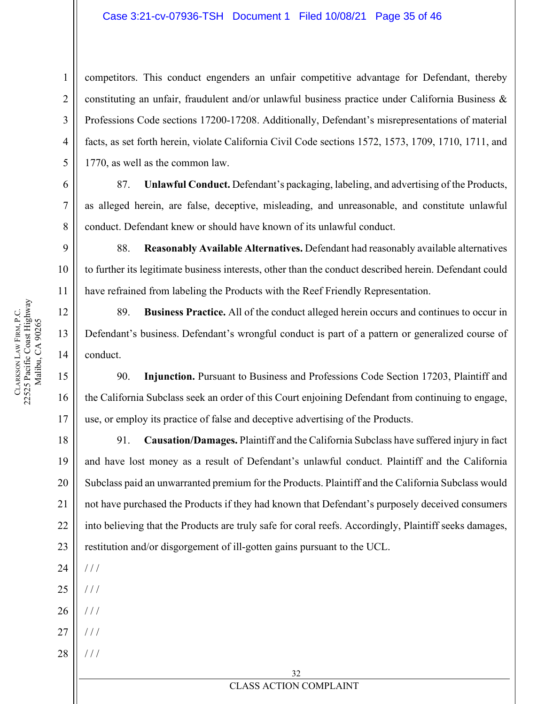### Case 3:21-cv-07936-TSH Document 1 Filed 10/08/21 Page 35 of 46

competitors. This conduct engenders an unfair competitive advantage for Defendant, thereby constituting an unfair, fraudulent and/or unlawful business practice under California Business & Professions Code sections 17200-17208. Additionally, Defendant's misrepresentations of material facts, as set forth herein, violate California Civil Code sections 1572, 1573, 1709, 1710, 1711, and 1770, as well as the common law.

87. **Unlawful Conduct.** Defendant's packaging, labeling, and advertising of the Products, as alleged herein, are false, deceptive, misleading, and unreasonable, and constitute unlawful conduct. Defendant knew or should have known of its unlawful conduct.

88. **Reasonably Available Alternatives.** Defendant had reasonably available alternatives to further its legitimate business interests, other than the conduct described herein. Defendant could have refrained from labeling the Products with the Reef Friendly Representation.

89. **Business Practice.** All of the conduct alleged herein occurs and continues to occur in Defendant's business. Defendant's wrongful conduct is part of a pattern or generalized course of conduct.

90. **Injunction.** Pursuant to Business and Professions Code Section 17203, Plaintiff and the California Subclass seek an order of this Court enjoining Defendant from continuing to engage, use, or employ its practice of false and deceptive advertising of the Products.

18 19 20 21 22 23 91. **Causation/Damages.** Plaintiff and the California Subclass have suffered injury in fact and have lost money as a result of Defendant's unlawful conduct. Plaintiff and the California Subclass paid an unwarranted premium for the Products. Plaintiff and the California Subclass would not have purchased the Products if they had known that Defendant's purposely deceived consumers into believing that the Products are truly safe for coral reefs. Accordingly, Plaintiff seeks damages, restitution and/or disgorgement of ill-gotten gains pursuant to the UCL.

24 / / /

25  $/ / /$ 

- 26 / / /
- 27 / / /
- 28 / / /

1

2

3

4

5

6

7

8

9

10

11

12

13

14

15

16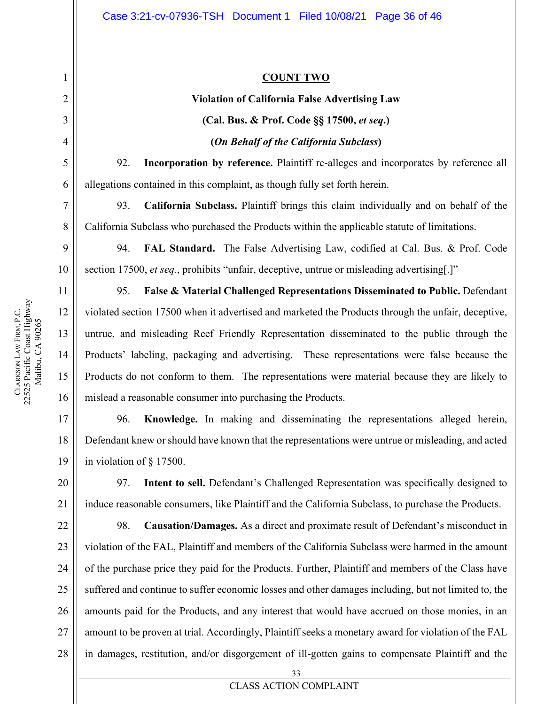### **COUNT TWO**

# **Violation of California False Advertising Law (Cal. Bus. & Prof. Code §§ 17500,** *et seq***.) (***On Behalf of the California Subclass***)**

92. **Incorporation by reference.** Plaintiff re-alleges and incorporates by reference all allegations contained in this complaint, as though fully set forth herein.

93. **California Subclass.** Plaintiff brings this claim individually and on behalf of the California Subclass who purchased the Products within the applicable statute of limitations.

94. **FAL Standard.** The False Advertising Law, codified at Cal. Bus. & Prof. Code section 17500, *et seq.*, prohibits "unfair, deceptive, untrue or misleading advertising[.]"

95. **False & Material Challenged Representations Disseminated to Public.** Defendant violated section 17500 when it advertised and marketed the Products through the unfair, deceptive, untrue, and misleading Reef Friendly Representation disseminated to the public through the Products' labeling, packaging and advertising. These representations were false because the Products do not conform to them. The representations were material because they are likely to mislead a reasonable consumer into purchasing the Products.

17 18 19 96. **Knowledge.** In making and disseminating the representations alleged herein, Defendant knew or should have known that the representations were untrue or misleading, and acted in violation of § 17500.

97. **Intent to sell.** Defendant's Challenged Representation was specifically designed to induce reasonable consumers, like Plaintiff and the California Subclass, to purchase the Products.

22 23 24 25 26 27 28 98. **Causation/Damages.** As a direct and proximate result of Defendant's misconduct in violation of the FAL, Plaintiff and members of the California Subclass were harmed in the amount of the purchase price they paid for the Products. Further, Plaintiff and members of the Class have suffered and continue to suffer economic losses and other damages including, but not limited to, the amounts paid for the Products, and any interest that would have accrued on those monies, in an amount to be proven at trial. Accordingly, Plaintiff seeks a monetary award for violation of the FAL in damages, restitution, and/or disgorgement of ill-gotten gains to compensate Plaintiff and the

1

2

3

4

5

6

7

8

9

10

11

12

13

14

15

16

20

21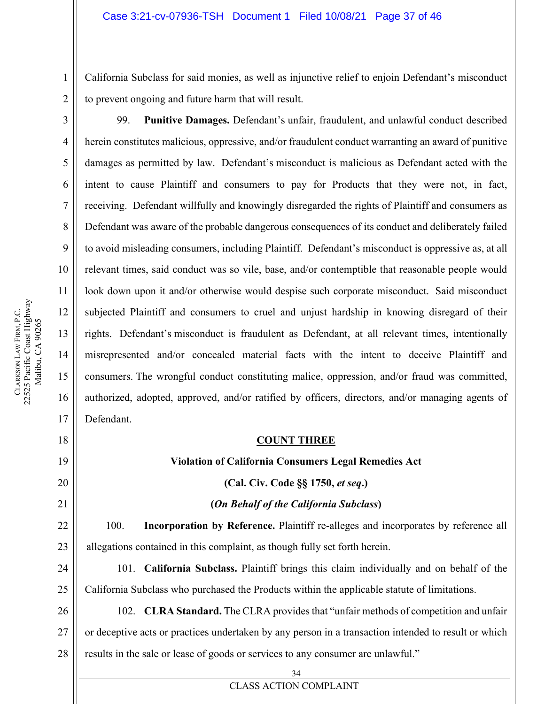California Subclass for said monies, as well as injunctive relief to enjoin Defendant's misconduct to prevent ongoing and future harm that will result.

99. **Punitive Damages.** Defendant's unfair, fraudulent, and unlawful conduct described herein constitutes malicious, oppressive, and/or fraudulent conduct warranting an award of punitive damages as permitted by law. Defendant's misconduct is malicious as Defendant acted with the intent to cause Plaintiff and consumers to pay for Products that they were not, in fact, receiving. Defendant willfully and knowingly disregarded the rights of Plaintiff and consumers as Defendant was aware of the probable dangerous consequences of its conduct and deliberately failed to avoid misleading consumers, including Plaintiff. Defendant's misconduct is oppressive as, at all relevant times, said conduct was so vile, base, and/or contemptible that reasonable people would look down upon it and/or otherwise would despise such corporate misconduct. Said misconduct subjected Plaintiff and consumers to cruel and unjust hardship in knowing disregard of their rights. Defendant's misconduct is fraudulent as Defendant, at all relevant times, intentionally misrepresented and/or concealed material facts with the intent to deceive Plaintiff and consumers. The wrongful conduct constituting malice, oppression, and/or fraud was committed, authorized, adopted, approved, and/or ratified by officers, directors, and/or managing agents of Defendant.

### **COUNT THREE**

### **Violation of California Consumers Legal Remedies Act**

**(Cal. Civ. Code §§ 1750,** *et seq***.)**

### **(***On Behalf of the California Subclass***)**

100. **Incorporation by Reference.** Plaintiff re-alleges and incorporates by reference all allegations contained in this complaint, as though fully set forth herein.

24 25 101. **California Subclass.** Plaintiff brings this claim individually and on behalf of the California Subclass who purchased the Products within the applicable statute of limitations.

26 27 28 102. **CLRA Standard.** The CLRA provides that "unfair methods of competition and unfair or deceptive acts or practices undertaken by any person in a transaction intended to result or which results in the sale or lease of goods or services to any consumer are unlawful."

> 34 CLASS ACTION COMPLAINT

1

2

3

5

6

7

8

9

18

19

20

21

22

23

**CLARKSON** 

LAW FIRM, P.C.

22525 Pacific Coast Highway Malibu, CA 90265

CLARKSON LAW FIRM, P.C.<br>22525 Pacific Coast Highway Malibu, CA 90265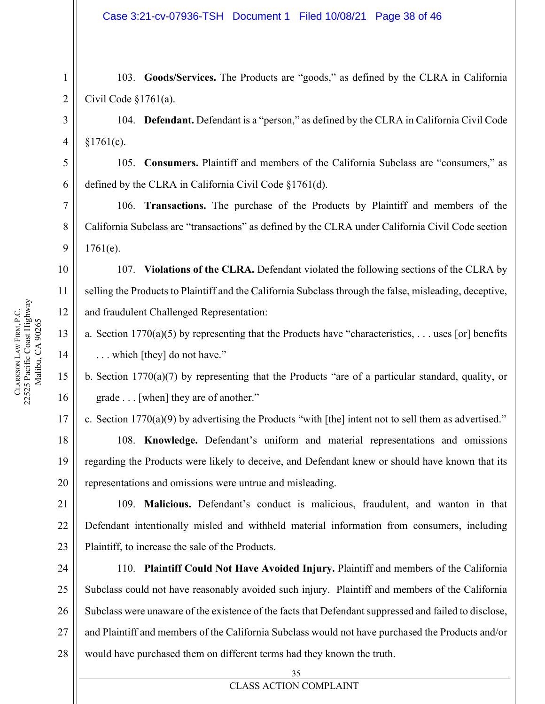103. **Goods/Services.** The Products are "goods," as defined by the CLRA in California Civil Code §1761(a).

104. **Defendant.** Defendant is a "person," as defined by the CLRA in California Civil Code  $§1761(c).$ 

105. **Consumers.** Plaintiff and members of the California Subclass are "consumers," as defined by the CLRA in California Civil Code §1761(d).

106. **Transactions.** The purchase of the Products by Plaintiff and members of the California Subclass are "transactions" as defined by the CLRA under California Civil Code section  $1761(e)$ .

107. **Violations of the CLRA.** Defendant violated the following sections of the CLRA by selling the Products to Plaintiff and the California Subclass through the false, misleading, deceptive, and fraudulent Challenged Representation:

a. Section  $1770(a)(5)$  by representing that the Products have "characteristics, . . . uses [or] benefits . . . which [they] do not have."

b. Section 1770(a)(7) by representing that the Products "are of a particular standard, quality, or grade . . . [when] they are of another."

17 c. Section 1770(a)(9) by advertising the Products "with [the] intent not to sell them as advertised."

108. **Knowledge.** Defendant's uniform and material representations and omissions regarding the Products were likely to deceive, and Defendant knew or should have known that its representations and omissions were untrue and misleading.

109. **Malicious.** Defendant's conduct is malicious, fraudulent, and wanton in that Defendant intentionally misled and withheld material information from consumers, including Plaintiff, to increase the sale of the Products.

110. **Plaintiff Could Not Have Avoided Injury.** Plaintiff and members of the California Subclass could not have reasonably avoided such injury. Plaintiff and members of the California Subclass were unaware of the existence of the facts that Defendant suppressed and failed to disclose, and Plaintiff and members of the California Subclass would not have purchased the Products and/or would have purchased them on different terms had they known the truth.

1

2

3

4

5

6

7

8

9

10

11

12

13

14

15

16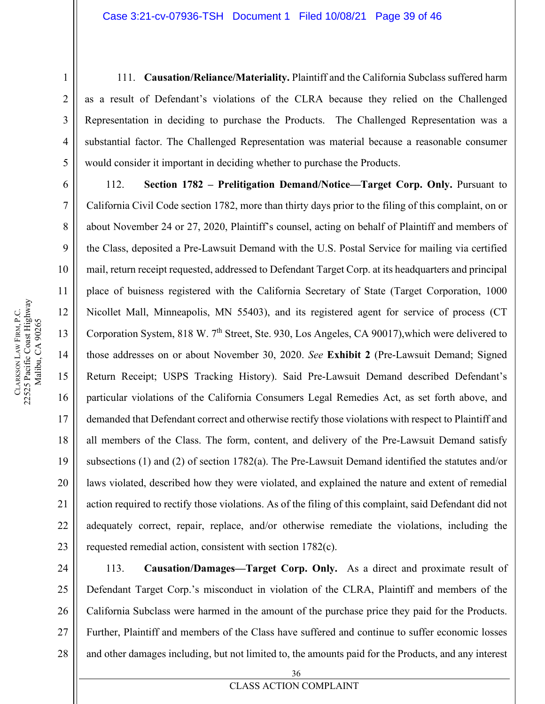111. **Causation/Reliance/Materiality.** Plaintiff and the California Subclass suffered harm as a result of Defendant's violations of the CLRA because they relied on the Challenged Representation in deciding to purchase the Products. The Challenged Representation was a substantial factor. The Challenged Representation was material because a reasonable consumer would consider it important in deciding whether to purchase the Products.

112. **Section 1782 – Prelitigation Demand/Notice—Target Corp. Only.** Pursuant to California Civil Code section 1782, more than thirty days prior to the filing of this complaint, on or about November 24 or 27, 2020, Plaintiff's counsel, acting on behalf of Plaintiff and members of the Class, deposited a Pre-Lawsuit Demand with the U.S. Postal Service for mailing via certified mail, return receipt requested, addressed to Defendant Target Corp. at its headquarters and principal place of buisness registered with the California Secretary of State (Target Corporation, 1000 Nicollet Mall, Minneapolis, MN 55403), and its registered agent for service of process (CT Corporation System, 818 W. 7<sup>th</sup> Street, Ste. 930, Los Angeles, CA 90017), which were delivered to those addresses on or about November 30, 2020. *See* **Exhibit 2** (Pre-Lawsuit Demand; Signed Return Receipt; USPS Tracking History). Said Pre-Lawsuit Demand described Defendant's particular violations of the California Consumers Legal Remedies Act, as set forth above, and demanded that Defendant correct and otherwise rectify those violations with respect to Plaintiff and all members of the Class. The form, content, and delivery of the Pre-Lawsuit Demand satisfy subsections (1) and (2) of section 1782(a). The Pre-Lawsuit Demand identified the statutes and/or laws violated, described how they were violated, and explained the nature and extent of remedial action required to rectify those violations. As of the filing of this complaint, said Defendant did not adequately correct, repair, replace, and/or otherwise remediate the violations, including the requested remedial action, consistent with section 1782(c).

24 25 26 27 28 113. **Causation/Damages—Target Corp. Only.** As a direct and proximate result of Defendant Target Corp.'s misconduct in violation of the CLRA, Plaintiff and members of the California Subclass were harmed in the amount of the purchase price they paid for the Products. Further, Plaintiff and members of the Class have suffered and continue to suffer economic losses and other damages including, but not limited to, the amounts paid for the Products, and any interest

1

2

3

4

5

6

7

8

9

10

11

12

13

14

15

16

17

18

19

20

21

22

23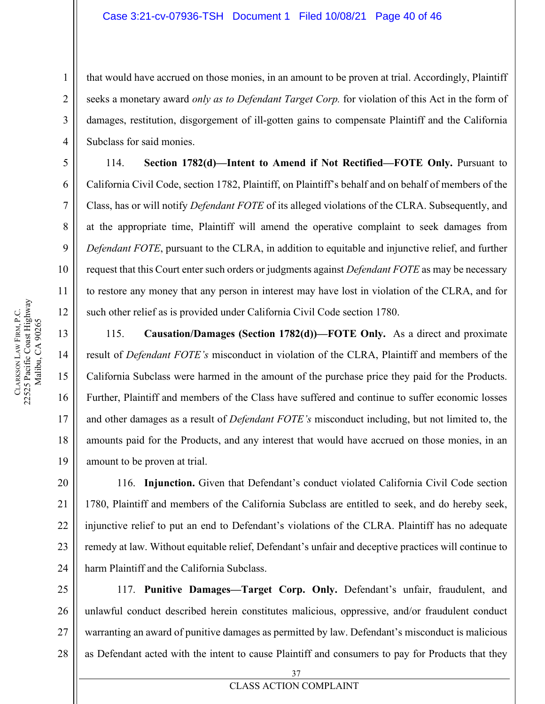that would have accrued on those monies, in an amount to be proven at trial. Accordingly, Plaintiff seeks a monetary award *only as to Defendant Target Corp.* for violation of this Act in the form of damages, restitution, disgorgement of ill-gotten gains to compensate Plaintiff and the California Subclass for said monies.

114. **Section 1782(d)—Intent to Amend if Not Rectified—FOTE Only.** Pursuant to California Civil Code, section 1782, Plaintiff, on Plaintiff's behalf and on behalf of members of the Class, has or will notify *Defendant FOTE* of its alleged violations of the CLRA. Subsequently, and at the appropriate time, Plaintiff will amend the operative complaint to seek damages from *Defendant FOTE*, pursuant to the CLRA, in addition to equitable and injunctive relief, and further request that this Court enter such orders or judgments against *Defendant FOTE* as may be necessary to restore any money that any person in interest may have lost in violation of the CLRA, and for such other relief as is provided under California Civil Code section 1780.

115. **Causation/Damages (Section 1782(d))—FOTE Only.** As a direct and proximate result of *Defendant FOTE's* misconduct in violation of the CLRA, Plaintiff and members of the California Subclass were harmed in the amount of the purchase price they paid for the Products. Further, Plaintiff and members of the Class have suffered and continue to suffer economic losses and other damages as a result of *Defendant FOTE's* misconduct including, but not limited to, the amounts paid for the Products, and any interest that would have accrued on those monies, in an amount to be proven at trial.

116. **Injunction.** Given that Defendant's conduct violated California Civil Code section 1780, Plaintiff and members of the California Subclass are entitled to seek, and do hereby seek, injunctive relief to put an end to Defendant's violations of the CLRA. Plaintiff has no adequate remedy at law. Without equitable relief, Defendant's unfair and deceptive practices will continue to harm Plaintiff and the California Subclass.

117. **Punitive Damages—Target Corp. Only.** Defendant's unfair, fraudulent, and unlawful conduct described herein constitutes malicious, oppressive, and/or fraudulent conduct warranting an award of punitive damages as permitted by law. Defendant's misconduct is malicious as Defendant acted with the intent to cause Plaintiff and consumers to pay for Products that they

1

2

3

4

5

6

7

8

9

10

11

12

13

14

15

16

17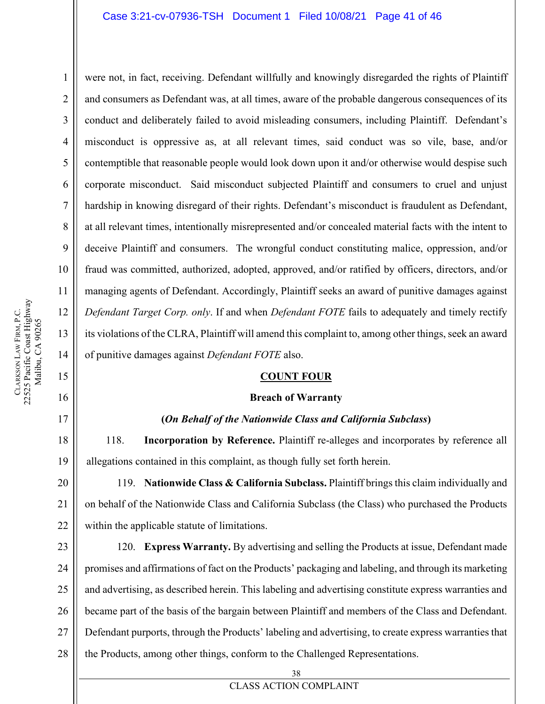### Case 3:21-cv-07936-TSH Document 1 Filed 10/08/21 Page 41 of 46

were not, in fact, receiving. Defendant willfully and knowingly disregarded the rights of Plaintiff and consumers as Defendant was, at all times, aware of the probable dangerous consequences of its conduct and deliberately failed to avoid misleading consumers, including Plaintiff. Defendant's misconduct is oppressive as, at all relevant times, said conduct was so vile, base, and/or contemptible that reasonable people would look down upon it and/or otherwise would despise such corporate misconduct. Said misconduct subjected Plaintiff and consumers to cruel and unjust hardship in knowing disregard of their rights. Defendant's misconduct is fraudulent as Defendant, at all relevant times, intentionally misrepresented and/or concealed material facts with the intent to deceive Plaintiff and consumers. The wrongful conduct constituting malice, oppression, and/or fraud was committed, authorized, adopted, approved, and/or ratified by officers, directors, and/or managing agents of Defendant. Accordingly, Plaintiff seeks an award of punitive damages against *Defendant Target Corp. only*. If and when *Defendant FOTE* fails to adequately and timely rectify its violations of the CLRA, Plaintiff will amend this complaint to, among other things, seek an award of punitive damages against *Defendant FOTE* also.

### **COUNT FOUR**

### **Breach of Warranty**

#### **(***On Behalf of the Nationwide Class and California Subclass***)**

118. **Incorporation by Reference.** Plaintiff re-alleges and incorporates by reference all allegations contained in this complaint, as though fully set forth herein.

119. **Nationwide Class & California Subclass.** Plaintiff brings this claim individually and on behalf of the Nationwide Class and California Subclass (the Class) who purchased the Products within the applicable statute of limitations.

27 120. **Express Warranty.** By advertising and selling the Products at issue, Defendant made promises and affirmations of fact on the Products' packaging and labeling, and through its marketing and advertising, as described herein. This labeling and advertising constitute express warranties and became part of the basis of the bargain between Plaintiff and members of the Class and Defendant. Defendant purports, through the Products' labeling and advertising, to create express warranties that the Products, among other things, conform to the Challenged Representations.

1

2

3

4

5

6

7

8

9

10

11

12

13

14

15

16

17

18

19

28

38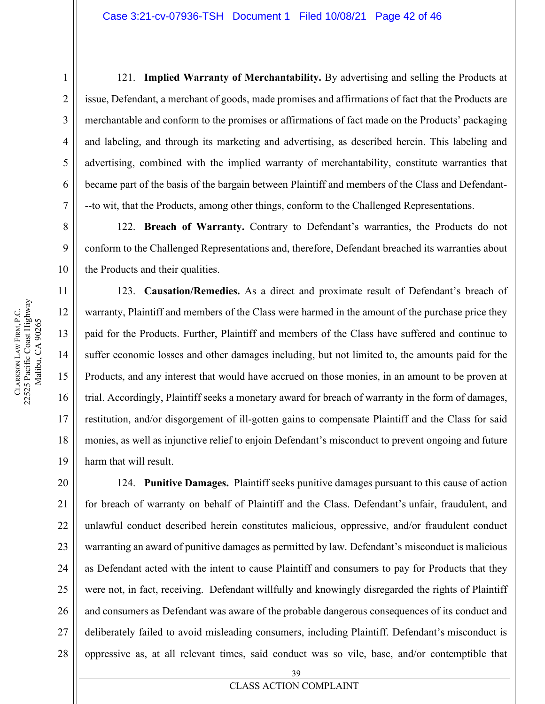121. **Implied Warranty of Merchantability.** By advertising and selling the Products at issue, Defendant, a merchant of goods, made promises and affirmations of fact that the Products are merchantable and conform to the promises or affirmations of fact made on the Products' packaging and labeling, and through its marketing and advertising, as described herein. This labeling and advertising, combined with the implied warranty of merchantability, constitute warranties that became part of the basis of the bargain between Plaintiff and members of the Class and Defendant- --to wit, that the Products, among other things, conform to the Challenged Representations.

122. **Breach of Warranty.** Contrary to Defendant's warranties, the Products do not conform to the Challenged Representations and, therefore, Defendant breached its warranties about the Products and their qualities.

123. **Causation/Remedies.** As a direct and proximate result of Defendant's breach of warranty, Plaintiff and members of the Class were harmed in the amount of the purchase price they paid for the Products. Further, Plaintiff and members of the Class have suffered and continue to suffer economic losses and other damages including, but not limited to, the amounts paid for the Products, and any interest that would have accrued on those monies, in an amount to be proven at trial. Accordingly, Plaintiff seeks a monetary award for breach of warranty in the form of damages, restitution, and/or disgorgement of ill-gotten gains to compensate Plaintiff and the Class for said monies, as well as injunctive relief to enjoin Defendant's misconduct to prevent ongoing and future harm that will result.

20 22 23 24 25 26 27 28 124. **Punitive Damages.** Plaintiff seeks punitive damages pursuant to this cause of action for breach of warranty on behalf of Plaintiff and the Class. Defendant's unfair, fraudulent, and unlawful conduct described herein constitutes malicious, oppressive, and/or fraudulent conduct warranting an award of punitive damages as permitted by law. Defendant's misconduct is malicious as Defendant acted with the intent to cause Plaintiff and consumers to pay for Products that they were not, in fact, receiving. Defendant willfully and knowingly disregarded the rights of Plaintiff and consumers as Defendant was aware of the probable dangerous consequences of its conduct and deliberately failed to avoid misleading consumers, including Plaintiff. Defendant's misconduct is oppressive as, at all relevant times, said conduct was so vile, base, and/or contemptible that

19

21

1

**CLARKSON** 

LAW FIRM, P.C.

22525 Pacific Coast Highway Malibu, CA 90265

CLARKSON LAW FIRM, P.C.<br>22525 Pacific Coast Highway Malibu, CA 90265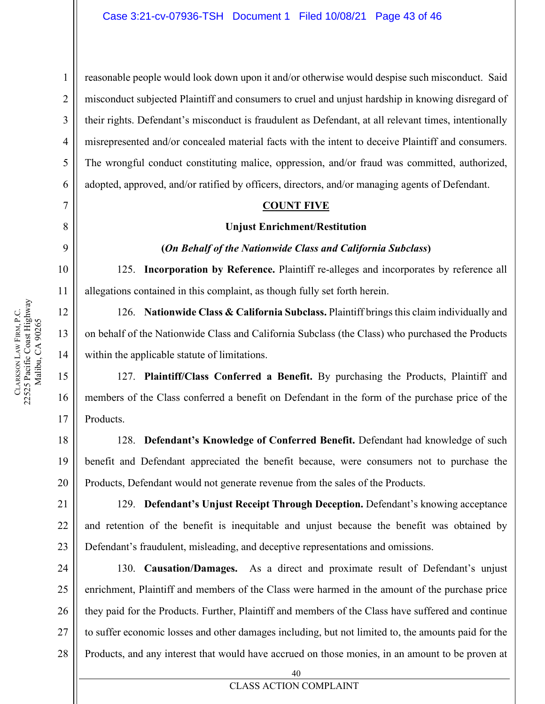1

2

3

4

5

6

7

8

9

20

21

22

23

**CLARKSON** 

LAW FIRM, P.C.

22525 Pacific Coast Highway

CLARKSON LAW FIRM, P.C.<br>22525 Pacific Coast Highway

reasonable people would look down upon it and/or otherwise would despise such misconduct. Said misconduct subjected Plaintiff and consumers to cruel and unjust hardship in knowing disregard of their rights. Defendant's misconduct is fraudulent as Defendant, at all relevant times, intentionally misrepresented and/or concealed material facts with the intent to deceive Plaintiff and consumers. The wrongful conduct constituting malice, oppression, and/or fraud was committed, authorized, adopted, approved, and/or ratified by officers, directors, and/or managing agents of Defendant.

### **COUNT FIVE**

### **Unjust Enrichment/Restitution**

### **(***On Behalf of the Nationwide Class and California Subclass***)**

125. **Incorporation by Reference.** Plaintiff re-alleges and incorporates by reference all allegations contained in this complaint, as though fully set forth herein.

126. **Nationwide Class & California Subclass.** Plaintiff brings this claim individually and on behalf of the Nationwide Class and California Subclass (the Class) who purchased the Products within the applicable statute of limitations.

127. **Plaintiff/Class Conferred a Benefit.** By purchasing the Products, Plaintiff and members of the Class conferred a benefit on Defendant in the form of the purchase price of the Products.

128. **Defendant's Knowledge of Conferred Benefit.** Defendant had knowledge of such benefit and Defendant appreciated the benefit because, were consumers not to purchase the Products, Defendant would not generate revenue from the sales of the Products.

129. **Defendant's Unjust Receipt Through Deception.** Defendant's knowing acceptance and retention of the benefit is inequitable and unjust because the benefit was obtained by Defendant's fraudulent, misleading, and deceptive representations and omissions.

24 25 26 27 28 130. **Causation/Damages.** As a direct and proximate result of Defendant's unjust enrichment, Plaintiff and members of the Class were harmed in the amount of the purchase price they paid for the Products. Further, Plaintiff and members of the Class have suffered and continue to suffer economic losses and other damages including, but not limited to, the amounts paid for the Products, and any interest that would have accrued on those monies, in an amount to be proven at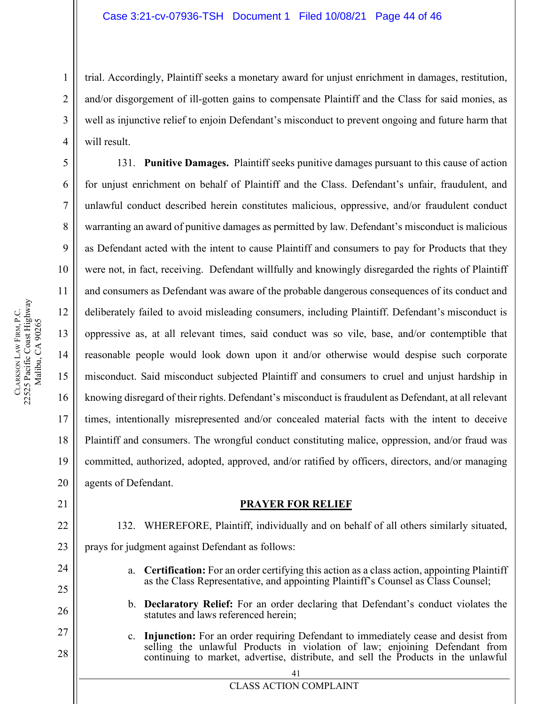trial. Accordingly, Plaintiff seeks a monetary award for unjust enrichment in damages, restitution, and/or disgorgement of ill-gotten gains to compensate Plaintiff and the Class for said monies, as well as injunctive relief to enjoin Defendant's misconduct to prevent ongoing and future harm that will result.

131. **Punitive Damages.** Plaintiff seeks punitive damages pursuant to this cause of action for unjust enrichment on behalf of Plaintiff and the Class. Defendant's unfair, fraudulent, and unlawful conduct described herein constitutes malicious, oppressive, and/or fraudulent conduct warranting an award of punitive damages as permitted by law. Defendant's misconduct is malicious as Defendant acted with the intent to cause Plaintiff and consumers to pay for Products that they were not, in fact, receiving. Defendant willfully and knowingly disregarded the rights of Plaintiff and consumers as Defendant was aware of the probable dangerous consequences of its conduct and deliberately failed to avoid misleading consumers, including Plaintiff. Defendant's misconduct is oppressive as, at all relevant times, said conduct was so vile, base, and/or contemptible that reasonable people would look down upon it and/or otherwise would despise such corporate misconduct. Said misconduct subjected Plaintiff and consumers to cruel and unjust hardship in knowing disregard of their rights. Defendant's misconduct is fraudulent as Defendant, at all relevant times, intentionally misrepresented and/or concealed material facts with the intent to deceive Plaintiff and consumers. The wrongful conduct constituting malice, oppression, and/or fraud was committed, authorized, adopted, approved, and/or ratified by officers, directors, and/or managing agents of Defendant.

### **PRAYER FOR RELIEF**

132. WHEREFORE, Plaintiff, individually and on behalf of all others similarly situated, prays for judgment against Defendant as follows:

- a. **Certification:** For an order certifying this action as a class action, appointing Plaintiff as the Class Representative, and appointing Plaintiff's Counsel as Class Counsel;
- b. **Declaratory Relief:** For an order declaring that Defendant's conduct violates the statutes and laws referenced herein;
- c. **Injunction:** For an order requiring Defendant to immediately cease and desist from selling the unlawful Products in violation of law; enjoining Defendant from continuing to market, advertise, distribute, and sell the Products in the unlawful

1

2

3

4

5

6

7

8

9

10

11

12

13

14

15

16

17

18

19

20

21

22

23

24

25

26

27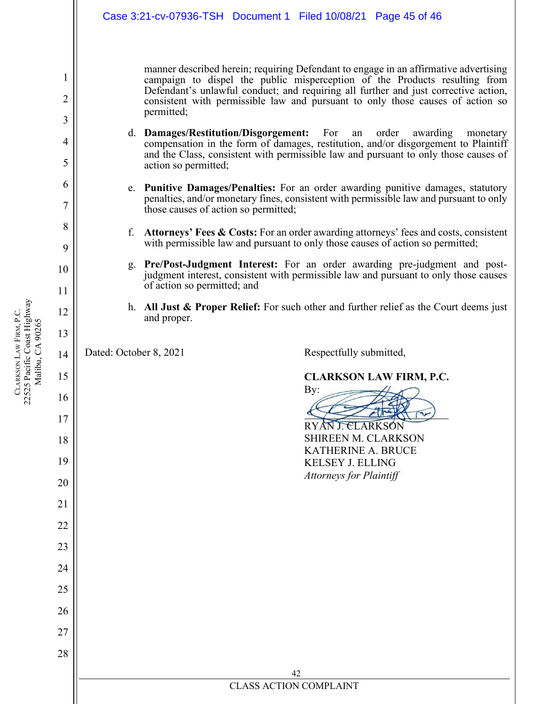|              | Case 3:21-cv-07936-TSH  Document 1  Filed 10/08/21  Page 45 of 46                                                                                                                                                                                                                                                                                         |
|--------------|-----------------------------------------------------------------------------------------------------------------------------------------------------------------------------------------------------------------------------------------------------------------------------------------------------------------------------------------------------------|
| 1<br>2       | manner described herein; requiring Defendant to engage in an affirmative advertising<br>campaign to dispel the public misperception of the Products resulting from<br>Defendant's unlawful conduct; and requiring all further and just corrective action,<br>consistent with permissible law and pursuant to only those causes of action so<br>permitted; |
| 3<br>4<br>5  | d. Damages/Restitution/Disgorgement: For<br>order<br>awarding<br>an<br>monetary<br>compensation in the form of damages, restitution, and/or disgorgement to Plaintiff<br>and the Class, consistent with permissible law and pursuant to only those causes of<br>action so permitted;                                                                      |
| 6<br>7       | e. Punitive Damages/Penalties: For an order awarding punitive damages, statutory<br>penalties, and/or monetary fines, consistent with permissible law and pursuant to only<br>those causes of action so permitted;                                                                                                                                        |
| 8<br>9<br>10 | f.<br>Attorneys' Fees & Costs: For an order awarding attorneys' fees and costs, consistent<br>with permissible law and pursuant to only those causes of action so permitted;<br><b>Pre/Post-Judgment Interest:</b> For an order awarding pre-judgment and post-<br>g.                                                                                     |
| 11           | judgment interest, consistent with permissible law and pursuant to only those causes<br>of action so permitted; and                                                                                                                                                                                                                                       |
| 12<br>13     | h. All Just & Proper Relief: For such other and further relief as the Court deems just<br>and proper.                                                                                                                                                                                                                                                     |
| 14           | Dated: October 8, 2021<br>Respectfully submitted,                                                                                                                                                                                                                                                                                                         |
| 15<br>16     | <b>CLARKSON LAW FIRM, P.C.</b><br>By:<br>$\implies$                                                                                                                                                                                                                                                                                                       |
| 17           | RYAN J. CLARKSÓN                                                                                                                                                                                                                                                                                                                                          |
| 18<br>19     | SHIREEN M. CLARKSON<br>KATHERINE A. BRUCE<br><b>KELSEY J. ELLING</b>                                                                                                                                                                                                                                                                                      |
| 20           | <b>Attorneys for Plaintiff</b>                                                                                                                                                                                                                                                                                                                            |
| 21<br>22     |                                                                                                                                                                                                                                                                                                                                                           |
| 23           |                                                                                                                                                                                                                                                                                                                                                           |
| 24<br>25     |                                                                                                                                                                                                                                                                                                                                                           |
| 26           |                                                                                                                                                                                                                                                                                                                                                           |
| 27<br>28     |                                                                                                                                                                                                                                                                                                                                                           |
|              | 42<br><b>CLASS ACTION COMPLAINT</b>                                                                                                                                                                                                                                                                                                                       |
|              |                                                                                                                                                                                                                                                                                                                                                           |

CLARKSON LAW FIRM, P.C.<br>22525 Pacific Coast Highway<br>Malibu, CA 90265 22525 Pacific Coast Highway LAW FIRM, P.C. Malibu, CA 90265 **CLARKSON**